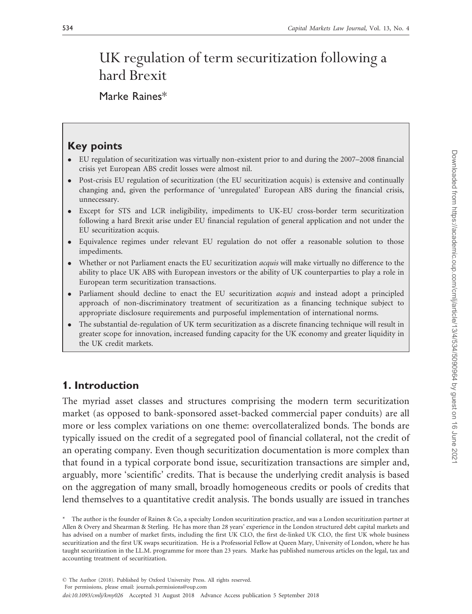# UK regulation of term securitization following a hard Brexit

## Marke Raines\*

## Key points

- EU regulation of securitization was virtually non-existent prior to and during the 2007–2008 financial crisis yet European ABS credit losses were almost nil.
- $\bullet$  Post-crisis EU regulation of securitization (the EU securitization acquis) is extensive and continually changing and, given the performance of 'unregulated' European ABS during the financial crisis, unnecessary.
- $\bullet$  Except for STS and LCR ineligibility, impediments to UK-EU cross-border term securitization following a hard Brexit arise under EU financial regulation of general application and not under the EU securitization acquis.
- Equivalence regimes under relevant EU regulation do not offer a reasonable solution to those impediments.
- $\bullet$ Whether or not Parliament enacts the EU securitization *acquis* will make virtually no difference to the ability to place UK ABS with European investors or the ability of UK counterparties to play a role in European term securitization transactions.
- Parliament should decline to enact the EU securitization *acquis* and instead adopt a principled approach of non-discriminatory treatment of securitization as a financing technique subject to appropriate disclosure requirements and purposeful implementation of international norms.
- $\bullet$  The substantial de-regulation of UK term securitization as a discrete financing technique will result in greater scope for innovation, increased funding capacity for the UK economy and greater liquidity in the UK credit markets.

## 1. Introduction

The myriad asset classes and structures comprising the modern term securitization market (as opposed to bank-sponsored asset-backed commercial paper conduits) are all more or less complex variations on one theme: overcollateralized bonds. The bonds are typically issued on the credit of a segregated pool of financial collateral, not the credit of an operating company. Even though securitization documentation is more complex than that found in a typical corporate bond issue, securitization transactions are simpler and, arguably, more 'scientific' credits. That is because the underlying credit analysis is based on the aggregation of many small, broadly homogeneous credits or pools of credits that lend themselves to a quantitative credit analysis. The bonds usually are issued in tranches

<sup>\*</sup> The author is the founder of Raines & Co, a specialty London securitization practice, and was a London securitization partner at Allen & Overy and Shearman & Sterling. He has more than 28 years' experience in the London structured debt capital markets and has advised on a number of market firsts, including the first UK CLO, the first de-linked UK CLO, the first UK whole business securitization and the first UK swaps securitization. He is a Professorial Fellow at Queen Mary, University of London, where he has taught securitization in the LL.M. programme for more than 23 years. Marke has published numerous articles on the legal, tax and accounting treatment of securitization.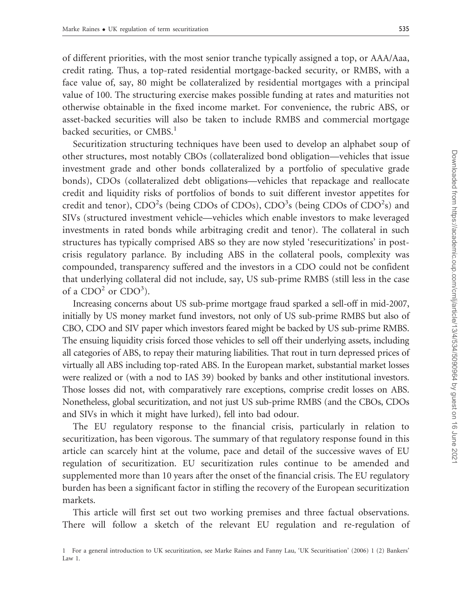of different priorities, with the most senior tranche typically assigned a top, or AAA/Aaa, credit rating. Thus, a top-rated residential mortgage-backed security, or RMBS, with a face value of, say, 80 might be collateralized by residential mortgages with a principal value of 100. The structuring exercise makes possible funding at rates and maturities not otherwise obtainable in the fixed income market. For convenience, the rubric ABS, or asset-backed securities will also be taken to include RMBS and commercial mortgage backed securities, or  $CMBS<sup>1</sup>$ 

Securitization structuring techniques have been used to develop an alphabet soup of other structures, most notably CBOs (collateralized bond obligation—vehicles that issue investment grade and other bonds collateralized by a portfolio of speculative grade bonds), CDOs (collateralized debt obligations—vehicles that repackage and reallocate credit and liquidity risks of portfolios of bonds to suit different investor appetites for credit and tenor), CDO<sup>2</sup>s (being CDOs of CDOs), CDO<sup>3</sup>s (being CDOs of CDO<sup>2</sup>s) and SIVs (structured investment vehicle—vehicles which enable investors to make leveraged investments in rated bonds while arbitraging credit and tenor). The collateral in such structures has typically comprised ABS so they are now styled 'resecuritizations' in postcrisis regulatory parlance. By including ABS in the collateral pools, complexity was compounded, transparency suffered and the investors in a CDO could not be confident that underlying collateral did not include, say, US sub-prime RMBS (still less in the case of a  $CDO<sup>2</sup>$  or  $CDO<sup>3</sup>$ ).

Increasing concerns about US sub-prime mortgage fraud sparked a sell-off in mid-2007, initially by US money market fund investors, not only of US sub-prime RMBS but also of CBO, CDO and SIV paper which investors feared might be backed by US sub-prime RMBS. The ensuing liquidity crisis forced those vehicles to sell off their underlying assets, including all categories of ABS, to repay their maturing liabilities. That rout in turn depressed prices of virtually all ABS including top-rated ABS. In the European market, substantial market losses were realized or (with a nod to IAS 39) booked by banks and other institutional investors. Those losses did not, with comparatively rare exceptions, comprise credit losses on ABS. Nonetheless, global securitization, and not just US sub-prime RMBS (and the CBOs, CDOs and SIVs in which it might have lurked), fell into bad odour.

The EU regulatory response to the financial crisis, particularly in relation to securitization, has been vigorous. The summary of that regulatory response found in this article can scarcely hint at the volume, pace and detail of the successive waves of EU regulation of securitization. EU securitization rules continue to be amended and supplemented more than 10 years after the onset of the financial crisis. The EU regulatory burden has been a significant factor in stifling the recovery of the European securitization markets.

This article will first set out two working premises and three factual observations. There will follow a sketch of the relevant EU regulation and re-regulation of

<sup>1</sup> For a general introduction to UK securitization, see Marke Raines and Fanny Lau, 'UK Securitisation' (2006) 1 (2) Bankers' Law 1.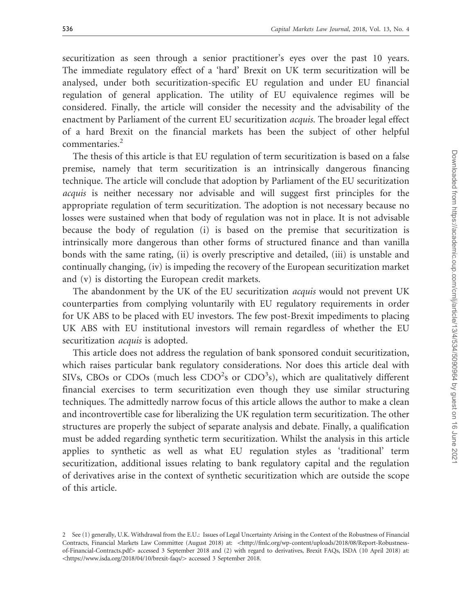securitization as seen through a senior practitioner's eyes over the past 10 years. The immediate regulatory effect of a 'hard' Brexit on UK term securitization will be analysed, under both securitization-specific EU regulation and under EU financial regulation of general application. The utility of EU equivalence regimes will be considered. Finally, the article will consider the necessity and the advisability of the enactment by Parliament of the current EU securitization acquis. The broader legal effect of a hard Brexit on the financial markets has been the subject of other helpful commentaries.<sup>2</sup>

The thesis of this article is that EU regulation of term securitization is based on a false premise, namely that term securitization is an intrinsically dangerous financing technique. The article will conclude that adoption by Parliament of the EU securitization acquis is neither necessary nor advisable and will suggest first principles for the appropriate regulation of term securitization. The adoption is not necessary because no losses were sustained when that body of regulation was not in place. It is not advisable because the body of regulation (i) is based on the premise that securitization is intrinsically more dangerous than other forms of structured finance and than vanilla bonds with the same rating, (ii) is overly prescriptive and detailed, (iii) is unstable and continually changing, (iv) is impeding the recovery of the European securitization market and (v) is distorting the European credit markets.

The abandonment by the UK of the EU securitization acquis would not prevent UK counterparties from complying voluntarily with EU regulatory requirements in order for UK ABS to be placed with EU investors. The few post-Brexit impediments to placing UK ABS with EU institutional investors will remain regardless of whether the EU securitization *acquis* is adopted.

This article does not address the regulation of bank sponsored conduit securitization, which raises particular bank regulatory considerations. Nor does this article deal with SIVs, CBOs or CDOs (much less CDO<sup>2</sup>s or CDO<sup>3</sup>s), which are qualitatively different financial exercises to term securitization even though they use similar structuring techniques. The admittedly narrow focus of this article allows the author to make a clean and incontrovertible case for liberalizing the UK regulation term securitization. The other structures are properly the subject of separate analysis and debate. Finally, a qualification must be added regarding synthetic term securitization. Whilst the analysis in this article applies to synthetic as well as what EU regulation styles as 'traditional' term securitization, additional issues relating to bank regulatory capital and the regulation of derivatives arise in the context of synthetic securitization which are outside the scope of this article.

<sup>2</sup> See (1) generally, U.K. Withdrawal from the E.U.: Issues of Legal Uncertainty Arising in the Context of the Robustness of Financial Contracts, Financial Markets Law Committee (August 2018) at: <[http://fmlc.org/wp-content/uploads/2018/08/Report-Robustness](http://fmlc.org/wp-content/uploads/2018/08/Report-Robustness-of-Financial-Contracts.pdf)[of-Financial-Contracts.pdf](http://fmlc.org/wp-content/uploads/2018/08/Report-Robustness-of-Financial-Contracts.pdf)4 accessed 3 September 2018 and (2) with regard to derivatives, Brexit FAQs, ISDA (10 April 2018) at: <<https://www.isda.org/2018/04/10/brexit-faqs/>> accessed 3 September 2018.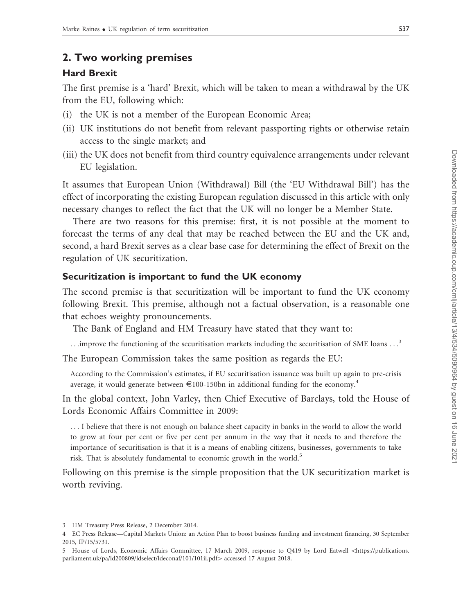## 2. Two working premises

### Hard Brexit

The first premise is a 'hard' Brexit, which will be taken to mean a withdrawal by the UK from the EU, following which:

- (i) the UK is not a member of the European Economic Area;
- (ii) UK institutions do not benefit from relevant passporting rights or otherwise retain access to the single market; and
- (iii) the UK does not benefit from third country equivalence arrangements under relevant EU legislation.

It assumes that European Union (Withdrawal) Bill (the 'EU Withdrawal Bill') has the effect of incorporating the existing European regulation discussed in this article with only necessary changes to reflect the fact that the UK will no longer be a Member State.

There are two reasons for this premise: first, it is not possible at the moment to forecast the terms of any deal that may be reached between the EU and the UK and, second, a hard Brexit serves as a clear base case for determining the effect of Brexit on the regulation of UK securitization.

#### Securitization is important to fund the UK economy

The second premise is that securitization will be important to fund the UK economy following Brexit. This premise, although not a factual observation, is a reasonable one that echoes weighty pronouncements.

The Bank of England and HM Treasury have stated that they want to:

...improve the functioning of the securitisation markets including the securitisation of SME loans ...<sup>3</sup>

The European Commission takes the same position as regards the EU:

According to the Commission's estimates, if EU securitisation issuance was built up again to pre-crisis average, it would generate between  $\epsilon$ 100-150bn in additional funding for the economy.<sup>4</sup>

In the global context, John Varley, then Chief Executive of Barclays, told the House of Lords Economic Affairs Committee in 2009:

... I believe that there is not enough on balance sheet capacity in banks in the world to allow the world to grow at four per cent or five per cent per annum in the way that it needs to and therefore the importance of securitisation is that it is a means of enabling citizens, businesses, governments to take risk. That is absolutely fundamental to economic growth in the world.<sup>5</sup>

Following on this premise is the simple proposition that the UK securitization market is worth reviving.

<sup>3</sup> HM Treasury Press Release, 2 December 2014.

<sup>4</sup> EC Press Release—Capital Markets Union: an Action Plan to boost business funding and investment financing, 30 September 2015, IP/15/5731.

<sup>5</sup> House of Lords, Economic Affairs Committee, 17 March 2009, response to O419 by Lord Eatwell <[https://publications.](https://publications.parliament.uk/pa/ld200809/ldselect/ldeconaf/101/101ii.pdf) [parliament.uk/pa/ld200809/ldselect/ldeconaf/101/101ii.pdf](https://publications.parliament.uk/pa/ld200809/ldselect/ldeconaf/101/101ii.pdf)> accessed 17 August 2018.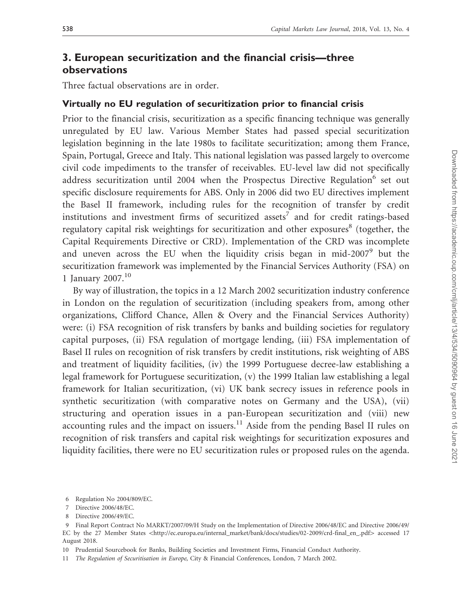## 3. European securitization and the financial crisis—three observations

Three factual observations are in order.

#### Virtually no EU regulation of securitization prior to financial crisis

Prior to the financial crisis, securitization as a specific financing technique was generally unregulated by EU law. Various Member States had passed special securitization legislation beginning in the late 1980s to facilitate securitization; among them France, Spain, Portugal, Greece and Italy. This national legislation was passed largely to overcome civil code impediments to the transfer of receivables. EU-level law did not specifically address securitization until 2004 when the Prospectus Directive Regulation $6$  set out specific disclosure requirements for ABS. Only in 2006 did two EU directives implement the Basel II framework, including rules for the recognition of transfer by credit institutions and investment firms of securitized assets<sup>7</sup> and for credit ratings-based regulatory capital risk weightings for securitization and other exposures $\delta$  (together, the Capital Requirements Directive or CRD). Implementation of the CRD was incomplete and uneven across the EU when the liquidity crisis began in mid-2007<sup>9</sup> but the securitization framework was implemented by the Financial Services Authority (FSA) on 1 January 2007. $10$ 

By way of illustration, the topics in a 12 March 2002 securitization industry conference in London on the regulation of securitization (including speakers from, among other organizations, Clifford Chance, Allen & Overy and the Financial Services Authority) were: (i) FSA recognition of risk transfers by banks and building societies for regulatory capital purposes, (ii) FSA regulation of mortgage lending, (iii) FSA implementation of Basel II rules on recognition of risk transfers by credit institutions, risk weighting of ABS and treatment of liquidity facilities, (iv) the 1999 Portuguese decree-law establishing a legal framework for Portuguese securitization, (v) the 1999 Italian law establishing a legal framework for Italian securitization, (vi) UK bank secrecy issues in reference pools in synthetic securitization (with comparative notes on Germany and the USA), (vii) structuring and operation issues in a pan-European securitization and (viii) new accounting rules and the impact on issuers. $11$  Aside from the pending Basel II rules on recognition of risk transfers and capital risk weightings for securitization exposures and liquidity facilities, there were no EU securitization rules or proposed rules on the agenda.

<sup>6</sup> Regulation No 2004/809/EC.

<sup>7</sup> Directive 2006/48/EC.

<sup>8</sup> Directive 2006/49/EC.

<sup>9</sup> Final Report Contract No MARKT/2007/09/H Study on the Implementation of Directive 2006/48/EC and Directive 2006/49/ EC by the 27 Member States <[http://ec.europa.eu/internal\\_market/bank/docs/studies/02-2009/crd-final\\_en\\_.pdf](http://ec.europa.eu/internal_market/bank/docs/studies/02-2009/crd-final_en_.pdf)> accessed 17 August 2018.

<sup>10</sup> Prudential Sourcebook for Banks, Building Societies and Investment Firms, Financial Conduct Authority.

<sup>11</sup> The Regulation of Securitisation in Europe, City & Financial Conferences, London, 7 March 2002.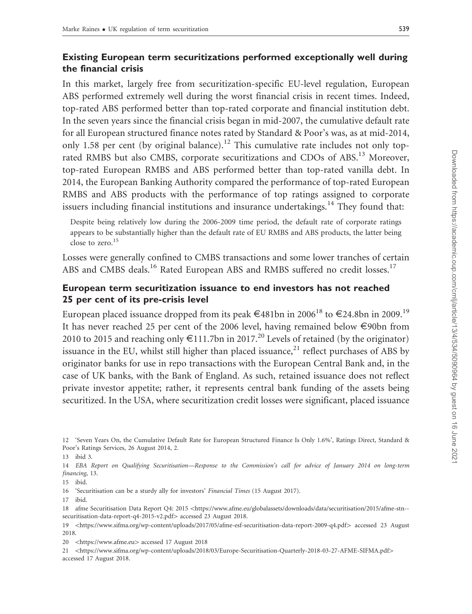## Existing European term securitizations performed exceptionally well during the financial crisis

In this market, largely free from securitization-specific EU-level regulation, European ABS performed extremely well during the worst financial crisis in recent times. Indeed, top-rated ABS performed better than top-rated corporate and financial institution debt. In the seven years since the financial crisis began in mid-2007, the cumulative default rate for all European structured finance notes rated by Standard & Poor's was, as at mid-2014, only 1.58 per cent (by original balance).<sup>12</sup> This cumulative rate includes not only toprated RMBS but also CMBS, corporate securitizations and CDOs of ABS.<sup>13</sup> Moreover, top-rated European RMBS and ABS performed better than top-rated vanilla debt. In 2014, the European Banking Authority compared the performance of top-rated European RMBS and ABS products with the performance of top ratings assigned to corporate issuers including financial institutions and insurance undertakings.<sup>14</sup> They found that:

Despite being relatively low during the 2006-2009 time period, the default rate of corporate ratings appears to be substantially higher than the default rate of EU RMBS and ABS products, the latter being close to zero.<sup>15</sup>

Losses were generally confined to CMBS transactions and some lower tranches of certain ABS and CMBS deals.<sup>16</sup> Rated European ABS and RMBS suffered no credit losses.<sup>17</sup>

## European term securitization issuance to end investors has not reached 25 per cent of its pre-crisis level

European placed issuance dropped from its peak  $\in$ 481bn in 2006<sup>18</sup> to  $\in$ 24.8bn in 2009.<sup>19</sup> It has never reached 25 per cent of the 2006 level, having remained below E90bn from 2010 to 2015 and reaching only  $\epsilon$ 111.7bn in 2017.<sup>20</sup> Levels of retained (by the originator) issuance in the EU, whilst still higher than placed issuance, $^{21}$  reflect purchases of ABS by originator banks for use in repo transactions with the European Central Bank and, in the case of UK banks, with the Bank of England. As such, retained issuance does not reflect private investor appetite; rather, it represents central bank funding of the assets being securitized. In the USA, where securitization credit losses were significant, placed issuance

16 'Securitisation can be a sturdy ally for investors' Financial Times (15 August 2017).

<sup>12 &#</sup>x27;Seven Years On, the Cumulative Default Rate for European Structured Finance Is Only 1.6%', Ratings Direct, Standard & Poor's Ratings Services, 26 August 2014, 2.

<sup>13</sup> ibid 3.

<sup>14</sup> EBA Report on Qualifying Securitisation—Response to the Commission's call for advice of January 2014 on long-term financing, 13.

<sup>15</sup> ibid.

<sup>17</sup> ibid.

<sup>18</sup> afme Securitisation Data Report Q4: 2015 <[https://www.afme.eu/globalassets/downloads/data/securitisation/2015/afme-stn-](https://www.afme.eu/globalassets/downloads/data/securitisation/2015/afme-stn-securitisation-data-report-q4-2015-v2.pdf) [securitisation-data-report-q4-2015-v2.pdf](https://www.afme.eu/globalassets/downloads/data/securitisation/2015/afme-stn-securitisation-data-report-q4-2015-v2.pdf)> accessed 23 August 2018.

<sup>19</sup> 5<https://www.sifma.org/wp-content/uploads/2017/05/afme-esf-securitisation-data-report-2009-q4.pdf>4 accessed 23 August 2018.

<sup>20 &</sup>lt;<https://www.afme.eu>> accessed 17 August 2018

<sup>21 &</sup>lt;https://www.sifma.org/wp-content/uploads/2018/03/Europe-Securitisation-Ouarterly-2018-03-27-AFME-SIFMA.pdf> accessed 17 August 2018.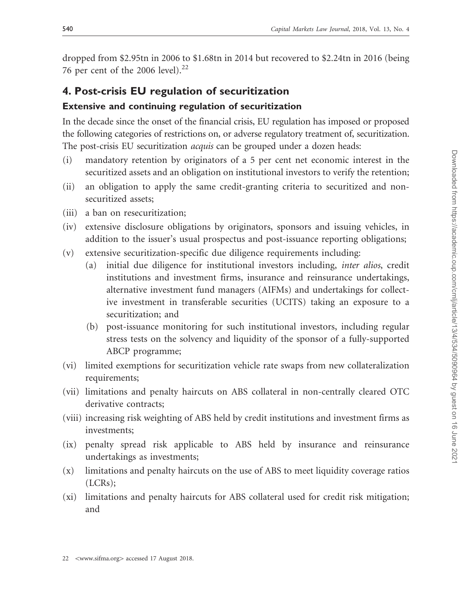dropped from \$2.95tn in 2006 to \$1.68tn in 2014 but recovered to \$2.24tn in 2016 (being 76 per cent of the 2006 level). $^{22}$ 

## 4. Post-crisis EU regulation of securitization

#### Extensive and continuing regulation of securitization

In the decade since the onset of the financial crisis, EU regulation has imposed or proposed the following categories of restrictions on, or adverse regulatory treatment of, securitization. The post-crisis EU securitization *acquis* can be grouped under a dozen heads:

- (i) mandatory retention by originators of a 5 per cent net economic interest in the securitized assets and an obligation on institutional investors to verify the retention;
- (ii) an obligation to apply the same credit-granting criteria to securitized and nonsecuritized assets;
- (iii) a ban on resecuritization;
- (iv) extensive disclosure obligations by originators, sponsors and issuing vehicles, in addition to the issuer's usual prospectus and post-issuance reporting obligations;
- (v) extensive securitization-specific due diligence requirements including:
	- (a) initial due diligence for institutional investors including, inter alios, credit institutions and investment firms, insurance and reinsurance undertakings, alternative investment fund managers (AIFMs) and undertakings for collective investment in transferable securities (UCITS) taking an exposure to a securitization; and
	- (b) post-issuance monitoring for such institutional investors, including regular stress tests on the solvency and liquidity of the sponsor of a fully-supported ABCP programme;
- (vi) limited exemptions for securitization vehicle rate swaps from new collateralization requirements;
- (vii) limitations and penalty haircuts on ABS collateral in non-centrally cleared OTC derivative contracts;
- (viii) increasing risk weighting of ABS held by credit institutions and investment firms as investments;
- (ix) penalty spread risk applicable to ABS held by insurance and reinsurance undertakings as investments;
- (x) limitations and penalty haircuts on the use of ABS to meet liquidity coverage ratios (LCRs);
- (xi) limitations and penalty haircuts for ABS collateral used for credit risk mitigation; and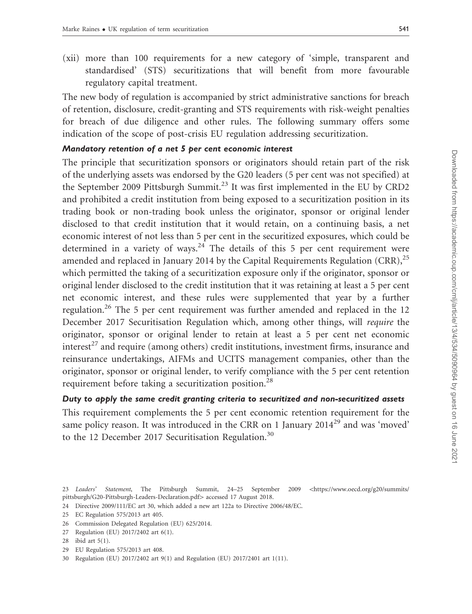(xii) more than 100 requirements for a new category of 'simple, transparent and standardised' (STS) securitizations that will benefit from more favourable regulatory capital treatment.

The new body of regulation is accompanied by strict administrative sanctions for breach of retention, disclosure, credit-granting and STS requirements with risk-weight penalties for breach of due diligence and other rules. The following summary offers some indication of the scope of post-crisis EU regulation addressing securitization.

#### Mandatory retention of a net 5 per cent economic interest

The principle that securitization sponsors or originators should retain part of the risk of the underlying assets was endorsed by the G20 leaders (5 per cent was not specified) at the September 2009 Pittsburgh Summit.<sup>23</sup> It was first implemented in the EU by CRD2 and prohibited a credit institution from being exposed to a securitization position in its trading book or non-trading book unless the originator, sponsor or original lender disclosed to that credit institution that it would retain, on a continuing basis, a net economic interest of not less than 5 per cent in the securitized exposures, which could be determined in a variety of ways.<sup>24</sup> The details of this 5 per cent requirement were amended and replaced in January 2014 by the Capital Requirements Regulation (CRR),<sup>25</sup> which permitted the taking of a securitization exposure only if the originator, sponsor or original lender disclosed to the credit institution that it was retaining at least a 5 per cent net economic interest, and these rules were supplemented that year by a further regulation.<sup>26</sup> The 5 per cent requirement was further amended and replaced in the 12 December 2017 Securitisation Regulation which, among other things, will require the originator, sponsor or original lender to retain at least a 5 per cent net economic interest<sup>27</sup> and require (among others) credit institutions, investment firms, insurance and reinsurance undertakings, AIFMs and UCITS management companies, other than the originator, sponsor or original lender, to verify compliance with the 5 per cent retention requirement before taking a securitization position.<sup>28</sup>

#### Duty to apply the same credit granting criteria to securitized and non-securitized assets

This requirement complements the 5 per cent economic retention requirement for the same policy reason. It was introduced in the CRR on 1 January 2014<sup>29</sup> and was 'moved' to the 12 December 2017 Securitisation Regulation.<sup>30</sup>

- 26 Commission Delegated Regulation (EU) 625/2014.
- 27 Regulation (EU) 2017/2402 art 6(1).
- 28 ibid art 5(1).
- 29 EU Regulation 575/2013 art 408.
- 30 Regulation (EU) 2017/2402 art 9(1) and Regulation (EU) 2017/2401 art 1(11).

<sup>23</sup> Leaders' Statement, The Pittsburgh Summit, 24–25 September 2009 <[https://www.oecd.org/g20/summits/](https://www.oecd.org/g20/summits/pittsburgh/G20-Pittsburgh-Leaders-Declaration.pdf) [pittsburgh/G20-Pittsburgh-Leaders-Declaration.pdf](https://www.oecd.org/g20/summits/pittsburgh/G20-Pittsburgh-Leaders-Declaration.pdf)> accessed 17 August 2018.

<sup>24</sup> Directive 2009/111/EC art 30, which added a new art 122a to Directive 2006/48/EC.

<sup>25</sup> EC Regulation 575/2013 art 405.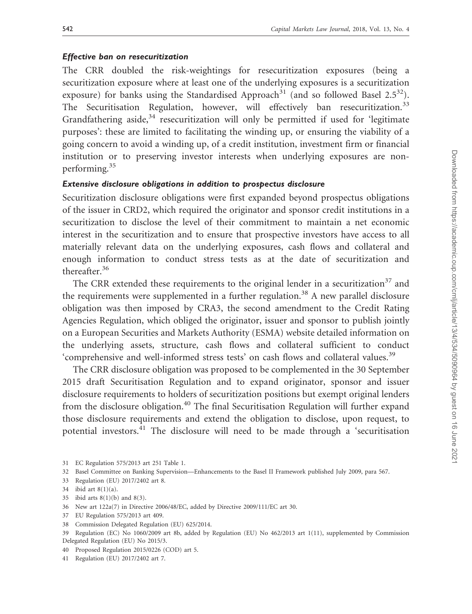#### Effective ban on resecuritization

The CRR doubled the risk-weightings for resecuritization exposures (being a securitization exposure where at least one of the underlying exposures is a securitization exposure) for banks using the Standardised Approach<sup>31</sup> (and so followed Basel  $2.5^{32}$ ). The Securitisation Regulation, however, will effectively ban resecuritization.<sup>33</sup> Grandfathering aside, $34$  resecuritization will only be permitted if used for 'legitimate purposes': these are limited to facilitating the winding up, or ensuring the viability of a going concern to avoid a winding up, of a credit institution, investment firm or financial institution or to preserving investor interests when underlying exposures are nonperforming.<sup>35</sup>

#### Extensive disclosure obligations in addition to prospectus disclosure

Securitization disclosure obligations were first expanded beyond prospectus obligations of the issuer in CRD2, which required the originator and sponsor credit institutions in a securitization to disclose the level of their commitment to maintain a net economic interest in the securitization and to ensure that prospective investors have access to all materially relevant data on the underlying exposures, cash flows and collateral and enough information to conduct stress tests as at the date of securitization and thereafter.<sup>36</sup>

The CRR extended these requirements to the original lender in a securitization<sup>37</sup> and the requirements were supplemented in a further regulation.<sup>38</sup> A new parallel disclosure obligation was then imposed by CRA3, the second amendment to the Credit Rating Agencies Regulation, which obliged the originator, issuer and sponsor to publish jointly on a European Securities and Markets Authority (ESMA) website detailed information on the underlying assets, structure, cash flows and collateral sufficient to conduct 'comprehensive and well-informed stress tests' on cash flows and collateral values.<sup>39</sup>

The CRR disclosure obligation was proposed to be complemented in the 30 September 2015 draft Securitisation Regulation and to expand originator, sponsor and issuer disclosure requirements to holders of securitization positions but exempt original lenders from the disclosure obligation.<sup>40</sup> The final Securitisation Regulation will further expand those disclosure requirements and extend the obligation to disclose, upon request, to potential investors.<sup>41</sup> The disclosure will need to be made through a 'securitisation

37 EU Regulation 575/2013 art 409.

<sup>31</sup> EC Regulation 575/2013 art 251 Table 1.

<sup>32</sup> Basel Committee on Banking Supervision—Enhancements to the Basel II Framework published July 2009, para 567.

<sup>33</sup> Regulation (EU) 2017/2402 art 8.

<sup>34</sup> ibid art 8(1)(a).

<sup>35</sup> ibid arts 8(1)(b) and 8(3).

<sup>36</sup> New art 122a(7) in Directive 2006/48/EC, added by Directive 2009/111/EC art 30.

<sup>38</sup> Commission Delegated Regulation (EU) 625/2014.

<sup>39</sup> Regulation (EC) No 1060/2009 art 8b, added by Regulation (EU) No 462/2013 art 1(11), supplemented by Commission Delegated Regulation (EU) No 2015/3.

<sup>40</sup> Proposed Regulation 2015/0226 (COD) art 5.

<sup>41</sup> Regulation (EU) 2017/2402 art 7.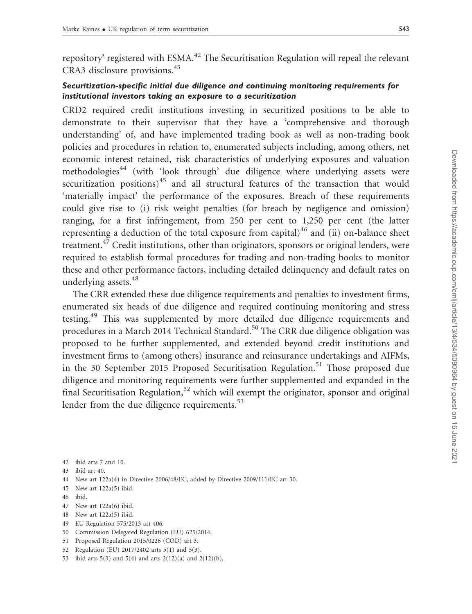repository' registered with ESMA.<sup>42</sup> The Securitisation Regulation will repeal the relevant CRA3 disclosure provisions.<sup>43</sup>

## Securitization-specific initial due diligence and continuing monitoring requirements for institutional investors taking an exposure to a securitization

CRD2 required credit institutions investing in securitized positions to be able to demonstrate to their supervisor that they have a 'comprehensive and thorough understanding' of, and have implemented trading book as well as non-trading book policies and procedures in relation to, enumerated subjects including, among others, net economic interest retained, risk characteristics of underlying exposures and valuation methodologies<sup>44</sup> (with 'look through' due diligence where underlying assets were securitization positions) $45$  and all structural features of the transaction that would 'materially impact' the performance of the exposures. Breach of these requirements could give rise to (i) risk weight penalties (for breach by negligence and omission) ranging, for a first infringement, from 250 per cent to 1,250 per cent (the latter representing a deduction of the total exposure from capital)<sup>46</sup> and (ii) on-balance sheet treatment.<sup>47</sup> Credit institutions, other than originators, sponsors or original lenders, were required to establish formal procedures for trading and non-trading books to monitor these and other performance factors, including detailed delinquency and default rates on underlying assets.<sup>48</sup>

The CRR extended these due diligence requirements and penalties to investment firms, enumerated six heads of due diligence and required continuing monitoring and stress testing.<sup>49</sup> This was supplemented by more detailed due diligence requirements and procedures in a March 2014 Technical Standard.<sup>50</sup> The CRR due diligence obligation was proposed to be further supplemented, and extended beyond credit institutions and investment firms to (among others) insurance and reinsurance undertakings and AIFMs, in the 30 September 2015 Proposed Securitisation Regulation.<sup>51</sup> Those proposed due diligence and monitoring requirements were further supplemented and expanded in the final Securitisation Regulation,<sup>52</sup> which will exempt the originator, sponsor and original lender from the due diligence requirements.<sup>53</sup>

- 44 New art 122a(4) in Directive 2006/48/EC, added by Directive 2009/111/EC art 30.
- 45 New art 122a(5) ibid.
- 46 ibid.
- 47 New art 122a(6) ibid.
- 48 New art 122a(5) ibid.
- 49 EU Regulation 575/2013 art 406.
- 50 Commission Delegated Regulation (EU) 625/2014.
- 51 Proposed Regulation 2015/0226 (COD) art 3.
- 52 Regulation (EU) 2017/2402 arts 5(1) and 5(3).
- 53 ibid arts 5(3) and 5(4) and arts 2(12)(a) and 2(12)(b).

<sup>42</sup> ibid arts 7 and 10.

<sup>43</sup> ibid art 40.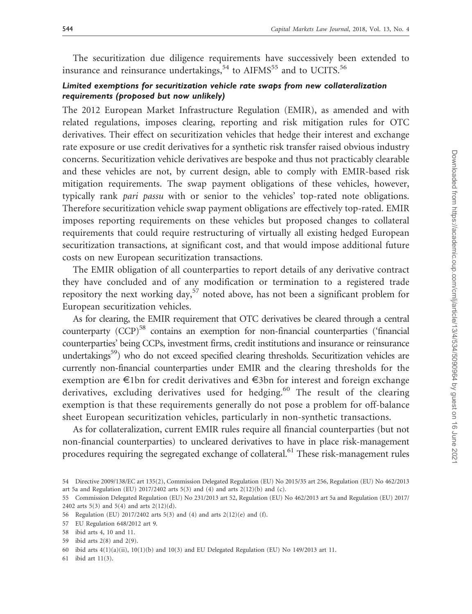The securitization due diligence requirements have successively been extended to insurance and reinsurance undertakings,  $54$  to AIFMS<sup>55</sup> and to UCITS.<sup>56</sup>

## Limited exemptions for securitization vehicle rate swaps from new collateralization requirements (proposed but now unlikely)

The 2012 European Market Infrastructure Regulation (EMIR), as amended and with related regulations, imposes clearing, reporting and risk mitigation rules for OTC derivatives. Their effect on securitization vehicles that hedge their interest and exchange rate exposure or use credit derivatives for a synthetic risk transfer raised obvious industry concerns. Securitization vehicle derivatives are bespoke and thus not practicably clearable and these vehicles are not, by current design, able to comply with EMIR-based risk mitigation requirements. The swap payment obligations of these vehicles, however, typically rank pari passu with or senior to the vehicles' top-rated note obligations. Therefore securitization vehicle swap payment obligations are effectively top-rated. EMIR imposes reporting requirements on these vehicles but proposed changes to collateral requirements that could require restructuring of virtually all existing hedged European securitization transactions, at significant cost, and that would impose additional future costs on new European securitization transactions.

The EMIR obligation of all counterparties to report details of any derivative contract they have concluded and of any modification or termination to a registered trade repository the next working day,<sup>57</sup> noted above, has not been a significant problem for European securitization vehicles.

As for clearing, the EMIR requirement that OTC derivatives be cleared through a central counterparty  $(CCP)^{58}$  contains an exemption for non-financial counterparties ('financial counterparties' being CCPs, investment firms, credit institutions and insurance or reinsurance undertakings<sup>59</sup>) who do not exceed specified clearing thresholds. Securitization vehicles are currently non-financial counterparties under EMIR and the clearing thresholds for the exemption are E1bn for credit derivatives and E3bn for interest and foreign exchange derivatives, excluding derivatives used for hedging.<sup>60</sup> The result of the clearing exemption is that these requirements generally do not pose a problem for off-balance sheet European securitization vehicles, particularly in non-synthetic transactions.

As for collateralization, current EMIR rules require all financial counterparties (but not non-financial counterparties) to uncleared derivatives to have in place risk-management procedures requiring the segregated exchange of collateral.<sup>61</sup> These risk-management rules

<sup>54</sup> Directive 2009/138/EC art 135(2), Commission Delegated Regulation (EU) No 2015/35 art 256, Regulation (EU) No 462/2013 art 5a and Regulation (EU) 2017/2402 arts 5(3) and (4) and arts 2(12)(b) and (c).

<sup>55</sup> Commission Delegated Regulation (EU) No 231/2013 art 52, Regulation (EU) No 462/2013 art 5a and Regulation (EU) 2017/ 2402 arts 5(3) and 5(4) and arts 2(12)(d).

<sup>56</sup> Regulation (EU) 2017/2402 arts 5(3) and (4) and arts 2(12)(e) and (f).

<sup>57</sup> EU Regulation 648/2012 art 9.

<sup>58</sup> ibid arts 4, 10 and 11.

<sup>59</sup> ibid arts 2(8) and 2(9).

<sup>60</sup> ibid arts 4(1)(a)(ii), 10(1)(b) and 10(3) and EU Delegated Regulation (EU) No 149/2013 art 11.

<sup>61</sup> ibid art 11(3).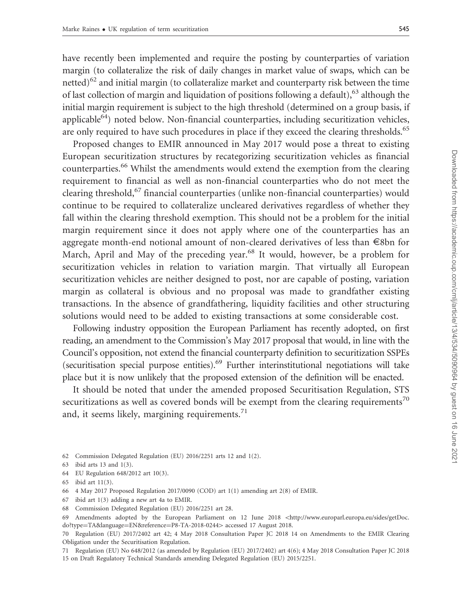have recently been implemented and require the posting by counterparties of variation margin (to collateralize the risk of daily changes in market value of swaps, which can be netted) $62$  and initial margin (to collateralize market and counterparty risk between the time of last collection of margin and liquidation of positions following a default), $63$  although the initial margin requirement is subject to the high threshold (determined on a group basis, if applicable<sup>64</sup>) noted below. Non-financial counterparties, including securitization vehicles, are only required to have such procedures in place if they exceed the clearing thresholds.<sup>65</sup>

Proposed changes to EMIR announced in May 2017 would pose a threat to existing European securitization structures by recategorizing securitization vehicles as financial counterparties.<sup>66</sup> Whilst the amendments would extend the exemption from the clearing requirement to financial as well as non-financial counterparties who do not meet the clearing threshold,<sup>67</sup> financial counterparties (unlike non-financial counterparties) would continue to be required to collateralize uncleared derivatives regardless of whether they fall within the clearing threshold exemption. This should not be a problem for the initial margin requirement since it does not apply where one of the counterparties has an aggregate month-end notional amount of non-cleared derivatives of less than E8bn for March, April and May of the preceding year.<sup>68</sup> It would, however, be a problem for securitization vehicles in relation to variation margin. That virtually all European securitization vehicles are neither designed to post, nor are capable of posting, variation margin as collateral is obvious and no proposal was made to grandfather existing transactions. In the absence of grandfathering, liquidity facilities and other structuring solutions would need to be added to existing transactions at some considerable cost.

Following industry opposition the European Parliament has recently adopted, on first reading, an amendment to the Commission's May 2017 proposal that would, in line with the Council's opposition, not extend the financial counterparty definition to securitization SSPEs (securitisation special purpose entities).<sup>69</sup> Further interinstitutional negotiations will take place but it is now unlikely that the proposed extension of the definition will be enacted.

It should be noted that under the amended proposed Securitisation Regulation, STS securitizations as well as covered bonds will be exempt from the clearing requirements<sup>70</sup> and, it seems likely, margining requirements. $^{71}$ 

62 Commission Delegated Regulation (EU) 2016/2251 arts 12 and 1(2).

- 64 EU Regulation 648/2012 art 10(3).
- 65 ibid art 11(3).
- 66 4 May 2017 Proposed Regulation 2017/0090 (COD) art 1(1) amending art 2(8) of EMIR.
- 67 ibid art 1(3) adding a new art 4a to EMIR.
- 68 Commission Delegated Regulation (EU) 2016/2251 art 28.

<sup>63</sup> ibid arts 13 and 1(3).

<sup>69</sup> Amendments adopted by the European Parliament on 12 June 2018 <[http://www.europarl.europa.eu/sides/getDoc.](http://www.europarl.europa.eu/sides/getDoc.do?type=TA&language=EN&reference=P8-TA-2018-0244) [do?type](http://www.europarl.europa.eu/sides/getDoc.do?type=TA&language=EN&reference=P8-TA-2018-0244)=[TA&language](http://www.europarl.europa.eu/sides/getDoc.do?type=TA&language=EN&reference=P8-TA-2018-0244)=[EN&reference](http://www.europarl.europa.eu/sides/getDoc.do?type=TA&language=EN&reference=P8-TA-2018-0244)=[P8-TA-2018-0244](http://www.europarl.europa.eu/sides/getDoc.do?type=TA&language=EN&reference=P8-TA-2018-0244)> accessed 17 August 2018.

<sup>70</sup> Regulation (EU) 2017/2402 art 42; 4 May 2018 Consultation Paper JC 2018 14 on Amendments to the EMIR Clearing Obligation under the Securitisation Regulation.

<sup>71</sup> Regulation (EU) No 648/2012 (as amended by Regulation (EU) 2017/2402) art 4(6); 4 May 2018 Consultation Paper JC 2018 15 on Draft Regulatory Technical Standards amending Delegated Regulation (EU) 2015/2251.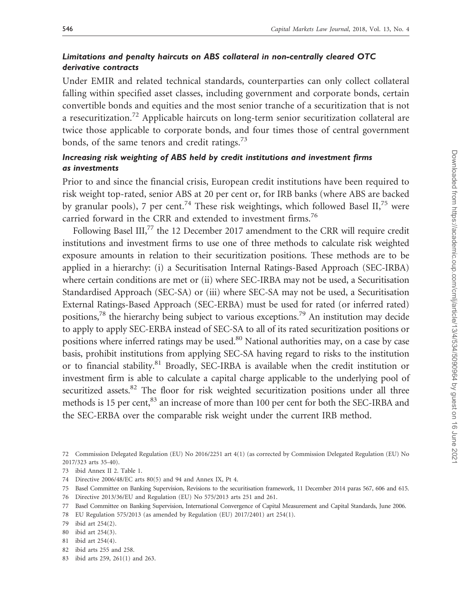### Limitations and penalty haircuts on ABS collateral in non-centrally cleared OTC derivative contracts

Under EMIR and related technical standards, counterparties can only collect collateral falling within specified asset classes, including government and corporate bonds, certain convertible bonds and equities and the most senior tranche of a securitization that is not a resecuritization.<sup>72</sup> Applicable haircuts on long-term senior securitization collateral are twice those applicable to corporate bonds, and four times those of central government bonds, of the same tenors and credit ratings. $^{73}$ 

## Increasing risk weighting of ABS held by credit institutions and investment firms as investments

Prior to and since the financial crisis, European credit institutions have been required to risk weight top-rated, senior ABS at 20 per cent or, for IRB banks (where ABS are backed by granular pools), 7 per cent.<sup>74</sup> These risk weightings, which followed Basel II,<sup>75</sup> were carried forward in the CRR and extended to investment firms.<sup>76</sup>

Following Basel III,<sup>77</sup> the 12 December 2017 amendment to the CRR will require credit institutions and investment firms to use one of three methods to calculate risk weighted exposure amounts in relation to their securitization positions. These methods are to be applied in a hierarchy: (i) a Securitisation Internal Ratings-Based Approach (SEC-IRBA) where certain conditions are met or (ii) where SEC-IRBA may not be used, a Securitisation Standardised Approach (SEC-SA) or (iii) where SEC-SA may not be used, a Securitisation External Ratings-Based Approach (SEC-ERBA) must be used for rated (or inferred rated) positions,78 the hierarchy being subject to various exceptions.79 An institution may decide to apply to apply SEC-ERBA instead of SEC-SA to all of its rated securitization positions or positions where inferred ratings may be used.<sup>80</sup> National authorities may, on a case by case basis, prohibit institutions from applying SEC-SA having regard to risks to the institution or to financial stability.<sup>81</sup> Broadly, SEC-IRBA is available when the credit institution or investment firm is able to calculate a capital charge applicable to the underlying pool of securitized assets.<sup>82</sup> The floor for risk weighted securitization positions under all three methods is 15 per cent,<sup>83</sup> an increase of more than 100 per cent for both the SEC-IRBA and the SEC-ERBA over the comparable risk weight under the current IRB method.

72 Commission Delegated Regulation (EU) No 2016/2251 art 4(1) (as corrected by Commission Delegated Regulation (EU) No 2017/323 arts 35-40).

- 74 Directive 2006/48/EC arts 80(5) and 94 and Annex IX, Pt 4.
- 75 Basel Committee on Banking Supervision, Revisions to the securitisation framework, 11 December 2014 paras 567, 606 and 615. 76 Directive 2013/36/EU and Regulation (EU) No 575/2013 arts 251 and 261.
- 77 Basel Committee on Banking Supervision, International Convergence of Capital Measurement and Capital Standards, June 2006.
- 78 EU Regulation 575/2013 (as amended by Regulation (EU) 2017/2401) art 254(1).
- 79 ibid art 254(2).
- 80 ibid art 254(3).
- 81 ibid art 254(4).
- 82 ibid arts 255 and 258.
- 83 ibid arts 259, 261(1) and 263.

<sup>73</sup> ibid Annex II 2. Table 1.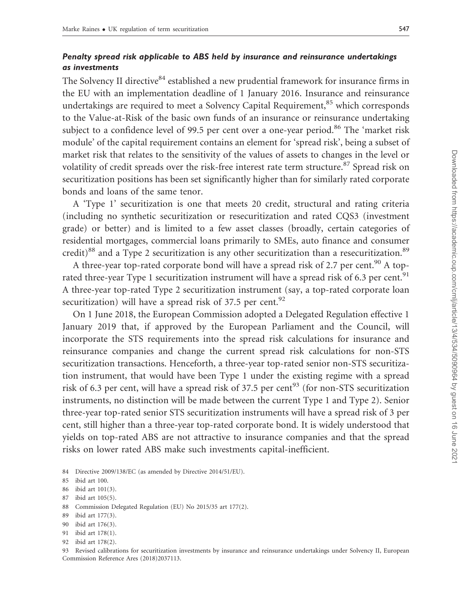### Penalty spread risk applicable to ABS held by insurance and reinsurance undertakings as investments

The Solvency II directive<sup>84</sup> established a new prudential framework for insurance firms in the EU with an implementation deadline of 1 January 2016. Insurance and reinsurance undertakings are required to meet a Solvency Capital Requirement,<sup>85</sup> which corresponds to the Value-at-Risk of the basic own funds of an insurance or reinsurance undertaking subject to a confidence level of 99.5 per cent over a one-year period.<sup>86</sup> The 'market risk module' of the capital requirement contains an element for 'spread risk', being a subset of market risk that relates to the sensitivity of the values of assets to changes in the level or volatility of credit spreads over the risk-free interest rate term structure.<sup>87</sup> Spread risk on securitization positions has been set significantly higher than for similarly rated corporate bonds and loans of the same tenor.

A 'Type 1' securitization is one that meets 20 credit, structural and rating criteria (including no synthetic securitization or resecuritization and rated CQS3 (investment grade) or better) and is limited to a few asset classes (broadly, certain categories of residential mortgages, commercial loans primarily to SMEs, auto finance and consumer credit) $88$  and a Type 2 securitization is any other securitization than a resecuritization. $89$ 

A three-year top-rated corporate bond will have a spread risk of 2.7 per cent.<sup>90</sup> A toprated three-year Type 1 securitization instrument will have a spread risk of 6.3 per cent.<sup>91</sup> A three-year top-rated Type 2 securitization instrument (say, a top-rated corporate loan securitization) will have a spread risk of 37.5 per cent.<sup>92</sup>

On 1 June 2018, the European Commission adopted a Delegated Regulation effective 1 January 2019 that, if approved by the European Parliament and the Council, will incorporate the STS requirements into the spread risk calculations for insurance and reinsurance companies and change the current spread risk calculations for non-STS securitization transactions. Henceforth, a three-year top-rated senior non-STS securitization instrument, that would have been Type 1 under the existing regime with a spread risk of 6.3 per cent, will have a spread risk of 37.5 per cent<sup>93</sup> (for non-STS securitization instruments, no distinction will be made between the current Type 1 and Type 2). Senior three-year top-rated senior STS securitization instruments will have a spread risk of 3 per cent, still higher than a three-year top-rated corporate bond. It is widely understood that yields on top-rated ABS are not attractive to insurance companies and that the spread risks on lower rated ABS make such investments capital-inefficient.

- 86 ibid art 101(3).
- 87 ibid art 105(5).
- 88 Commission Delegated Regulation (EU) No 2015/35 art 177(2).
- 89 ibid art 177(3).
- 90 ibid art 176(3).
- 91 ibid art 178(1).
- 92 ibid art 178(2).

<sup>84</sup> Directive 2009/138/EC (as amended by Directive 2014/51/EU).

<sup>85</sup> ibid art 100.

<sup>93</sup> Revised calibrations for securitization investments by insurance and reinsurance undertakings under Solvency II, European Commission Reference Ares (2018)2037113.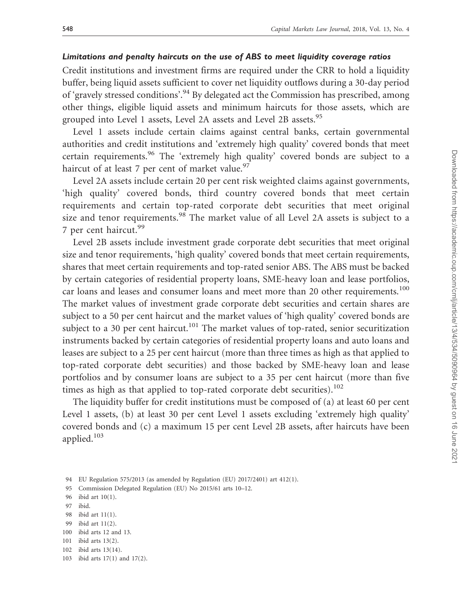#### Limitations and penalty haircuts on the use of ABS to meet liquidity coverage ratios

Credit institutions and investment firms are required under the CRR to hold a liquidity buffer, being liquid assets sufficient to cover net liquidity outflows during a 30-day period of 'gravely stressed conditions'.<sup>94</sup> By delegated act the Commission has prescribed, among other things, eligible liquid assets and minimum haircuts for those assets, which are grouped into Level 1 assets, Level 2A assets and Level 2B assets.<sup>95</sup>

Level 1 assets include certain claims against central banks, certain governmental authorities and credit institutions and 'extremely high quality' covered bonds that meet certain requirements.<sup>96</sup> The 'extremely high quality' covered bonds are subject to a haircut of at least 7 per cent of market value.<sup>97</sup>

Level 2A assets include certain 20 per cent risk weighted claims against governments, 'high quality' covered bonds, third country covered bonds that meet certain requirements and certain top-rated corporate debt securities that meet original size and tenor requirements.<sup>98</sup> The market value of all Level 2A assets is subject to a 7 per cent haircut.<sup>99</sup>

Level 2B assets include investment grade corporate debt securities that meet original size and tenor requirements, 'high quality' covered bonds that meet certain requirements, shares that meet certain requirements and top-rated senior ABS. The ABS must be backed by certain categories of residential property loans, SME-heavy loan and lease portfolios, car loans and leases and consumer loans and meet more than 20 other requirements.<sup>100</sup> The market values of investment grade corporate debt securities and certain shares are subject to a 50 per cent haircut and the market values of 'high quality' covered bonds are subject to a 30 per cent haircut.<sup>101</sup> The market values of top-rated, senior securitization instruments backed by certain categories of residential property loans and auto loans and leases are subject to a 25 per cent haircut (more than three times as high as that applied to top-rated corporate debt securities) and those backed by SME-heavy loan and lease portfolios and by consumer loans are subject to a 35 per cent haircut (more than five times as high as that applied to top-rated corporate debt securities). $102$ 

The liquidity buffer for credit institutions must be composed of (a) at least 60 per cent Level 1 assets, (b) at least 30 per cent Level 1 assets excluding 'extremely high quality' covered bonds and (c) a maximum 15 per cent Level 2B assets, after haircuts have been applied.<sup>103</sup>

- 99 ibid art 11(2).
- 100 ibid arts 12 and 13.
- 101 ibid arts 13(2).
- 102 ibid arts 13(14).

<sup>94</sup> EU Regulation 575/2013 (as amended by Regulation (EU) 2017/2401) art 412(1).

<sup>95</sup> Commission Delegated Regulation (EU) No 2015/61 arts 10–12.

<sup>96</sup> ibid art 10(1).

<sup>97</sup> ibid.

<sup>98</sup> ibid art 11(1).

<sup>103</sup> ibid arts 17(1) and 17(2).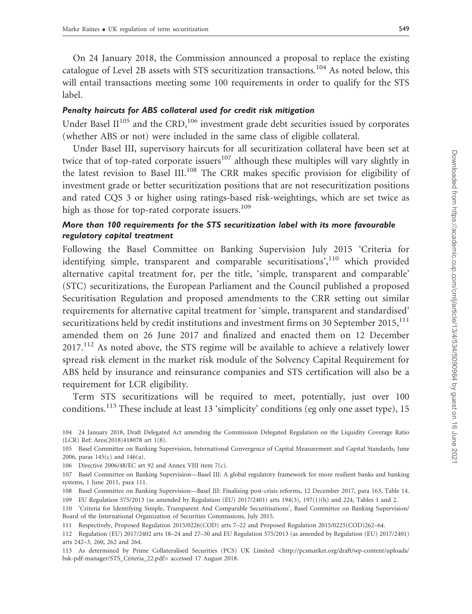On 24 January 2018, the Commission announced a proposal to replace the existing catalogue of Level 2B assets with STS securitization transactions.<sup>104</sup> As noted below, this will entail transactions meeting some 100 requirements in order to qualify for the STS label.

#### Penalty haircuts for ABS collateral used for credit risk mitigation

Under Basel  $II^{105}$  and the CRD,<sup>106</sup> investment grade debt securities issued by corporates (whether ABS or not) were included in the same class of eligible collateral.

Under Basel III, supervisory haircuts for all securitization collateral have been set at twice that of top-rated corporate issuers $107$  although these multiples will vary slightly in the latest revision to Basel III.<sup>108</sup> The CRR makes specific provision for eligibility of investment grade or better securitization positions that are not resecuritization positions and rated CQS 3 or higher using ratings-based risk-weightings, which are set twice as high as those for top-rated corporate issuers.<sup>109</sup>

### More than 100 requirements for the STS securitization label with its more favourable regulatory capital treatment

Following the Basel Committee on Banking Supervision July 2015 'Criteria for identifying simple, transparent and comparable securitisations',<sup>110</sup> which provided alternative capital treatment for, per the title, 'simple, transparent and comparable' (STC) securitizations, the European Parliament and the Council published a proposed Securitisation Regulation and proposed amendments to the CRR setting out similar requirements for alternative capital treatment for 'simple, transparent and standardised' securitizations held by credit institutions and investment firms on 30 September 2015,  $^{111}$ amended them on 26 June 2017 and finalized and enacted them on 12 December 2017.<sup>112</sup> As noted above, the STS regime will be available to achieve a relatively lower spread risk element in the market risk module of the Solvency Capital Requirement for ABS held by insurance and reinsurance companies and STS certification will also be a requirement for LCR eligibility.

Term STS securitizations will be required to meet, potentially, just over 100 conditions.<sup>113</sup> These include at least 13 'simplicity' conditions (eg only one asset type), 15

113 As determined by Prime Collateralised Securities (PCS) UK Limited <[http://pcsmarket.org/draft/wp-content/uploads/](http://pcsmarket.org/draft/wp-content/uploads/bsk-pdf-manager/STS_Criteria_22.pdf) [bsk-pdf-manager/STS\\_Criteria\\_22.pdf](http://pcsmarket.org/draft/wp-content/uploads/bsk-pdf-manager/STS_Criteria_22.pdf)> accessed 17 August 2018.

<sup>104 24</sup> January 2018, Draft Delegated Act amending the Commission Delegated Regulation on the Liquidity Coverage Ratio (LCR) Ref: Ares(2018)418078 art 1(8).

<sup>105</sup> Basel Committee on Banking Supervision, International Convergence of Capital Measurement and Capital Standards, June 2006, paras 145(c) and 146(a).

<sup>106</sup> Directive 2006/48/EC art 92 and Annex VIII item 7(c).

<sup>107</sup> Basel Committee on Banking Supervision—Basel III: A global regulatory framework for more resilient banks and banking systems, 1 June 2011, para 111.

<sup>108</sup> Basel Committee on Banking Supervision—Basel III: Finalising post-crisis reforms, 12 December 2017, para 163, Table 14. 109 EU Regulation 575/2013 (as amended by Regulation (EU) 2017/2401) arts 194(3), 197(1)(h) and 224, Tables 1 and 2.

<sup>110 &#</sup>x27;Criteria for Identifying Simple, Transparent And Comparable Securitisations', Basel Committee on Banking Supervision/ Board of the International Organization of Securities Commissions, July 2015.

<sup>111</sup> Respectively, Proposed Regulation 2015/0226(COD) arts 7–22 and Proposed Regulation 2015/0225(COD)262–64.

<sup>112</sup> Regulation (EU) 2017/2402 arts 18–24 and 27–30 and EU Regulation 575/2013 (as amended by Regulation (EU) 2017/2401) arts 242–3, 260, 262 and 264.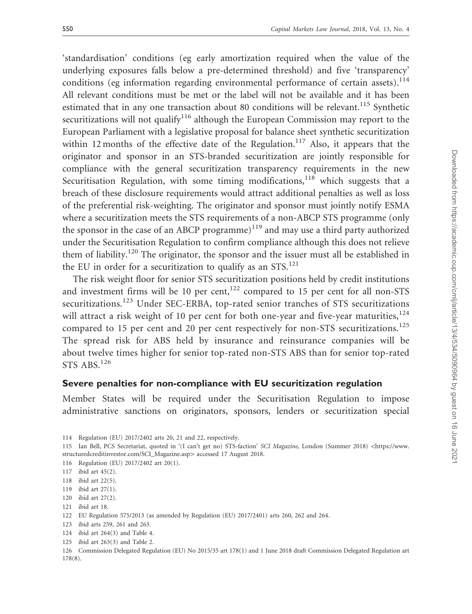'standardisation' conditions (eg early amortization required when the value of the underlying exposures falls below a pre-determined threshold) and five 'transparency' conditions (eg information regarding environmental performance of certain assets).<sup>114</sup> All relevant conditions must be met or the label will not be available and it has been estimated that in any one transaction about 80 conditions will be relevant.<sup>115</sup> Synthetic securitizations will not qualify<sup>116</sup> although the European Commission may report to the European Parliament with a legislative proposal for balance sheet synthetic securitization within 12 months of the effective date of the Regulation.<sup>117</sup> Also, it appears that the originator and sponsor in an STS-branded securitization are jointly responsible for compliance with the general securitization transparency requirements in the new Securitisation Regulation, with some timing modifications,  $118$  which suggests that a breach of these disclosure requirements would attract additional penalties as well as loss of the preferential risk-weighting. The originator and sponsor must jointly notify ESMA where a securitization meets the STS requirements of a non-ABCP STS programme (only the sponsor in the case of an ABCP programme)<sup>119</sup> and may use a third party authorized under the Securitisation Regulation to confirm compliance although this does not relieve them of liability.<sup>120</sup> The originator, the sponsor and the issuer must all be established in the EU in order for a securitization to qualify as an  $STS$ .<sup>121</sup>

The risk weight floor for senior STS securitization positions held by credit institutions and investment firms will be 10 per cent, $122$  compared to 15 per cent for all non-STS securitizations.<sup>123</sup> Under SEC-ERBA, top-rated senior tranches of STS securitizations will attract a risk weight of 10 per cent for both one-year and five-year maturities, $124$ compared to 15 per cent and 20 per cent respectively for non-STS securitizations.<sup>125</sup> The spread risk for ABS held by insurance and reinsurance companies will be about twelve times higher for senior top-rated non-STS ABS than for senior top-rated STS ABS.<sup>126</sup>

## Severe penalties for non-compliance with EU securitization regulation

Member States will be required under the Securitisation Regulation to impose administrative sanctions on originators, sponsors, lenders or securitization special

115 Ian Bell, PCS Secretariat, quoted in '(I can't get no) STS-faction' SCI Magazine, London (Summer 2018) <[https://www.](https://www.structuredcreditinvestor.com/SCI_Magazine.asp) [structuredcreditinvestor.com/SCI\\_Magazine.asp](https://www.structuredcreditinvestor.com/SCI_Magazine.asp)> accessed 17 August 2018.

- 123 ibid arts 259, 261 and 263.
- 124 ibid art 264(3) and Table 4.
- 125 ibid art 263(3) and Table 2.

<sup>114</sup> Regulation (EU) 2017/2402 arts 20, 21 and 22, respectively.

<sup>116</sup> Regulation (EU) 2017/2402 art 20(1).

<sup>117</sup> ibid art 45(2).

<sup>118</sup> ibid art 22(5).

<sup>119</sup> ibid art 27(1).

<sup>120</sup> ibid art 27(2).

<sup>121</sup> ibid art 18.

<sup>122</sup> EU Regulation 575/2013 (as amended by Regulation (EU) 2017/2401) arts 260, 262 and 264.

<sup>126</sup> Commission Delegated Regulation (EU) No 2015/35 art 178(1) and 1 June 2018 draft Commission Delegated Regulation art 178(8).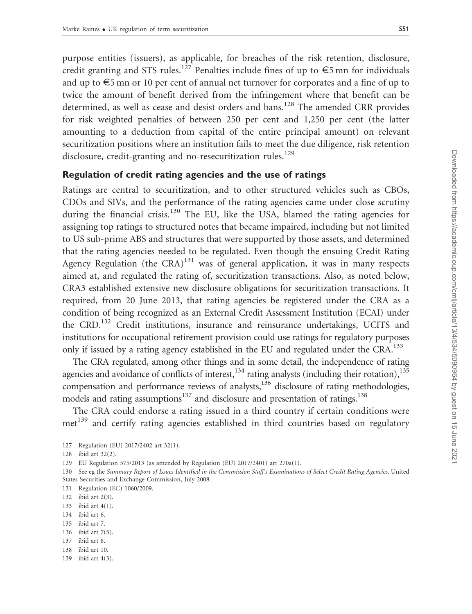purpose entities (issuers), as applicable, for breaches of the risk retention, disclosure, credit granting and STS rules.<sup>127</sup> Penalties include fines of up to  $\epsilon$ 5 mn for individuals and up to  $\epsilon$ 5 mn or 10 per cent of annual net turnover for corporates and a fine of up to twice the amount of benefit derived from the infringement where that benefit can be determined, as well as cease and desist orders and bans.<sup>128</sup> The amended CRR provides for risk weighted penalties of between 250 per cent and 1,250 per cent (the latter amounting to a deduction from capital of the entire principal amount) on relevant securitization positions where an institution fails to meet the due diligence, risk retention disclosure, credit-granting and no-resecuritization rules.<sup>129</sup>

#### Regulation of credit rating agencies and the use of ratings

Ratings are central to securitization, and to other structured vehicles such as CBOs, CDOs and SIVs, and the performance of the rating agencies came under close scrutiny during the financial crisis.<sup>130</sup> The EU, like the USA, blamed the rating agencies for assigning top ratings to structured notes that became impaired, including but not limited to US sub-prime ABS and structures that were supported by those assets, and determined that the rating agencies needed to be regulated. Even though the ensuing Credit Rating Agency Regulation (the  $CRA$ )<sup>131</sup> was of general application, it was in many respects aimed at, and regulated the rating of, securitization transactions. Also, as noted below, CRA3 established extensive new disclosure obligations for securitization transactions. It required, from 20 June 2013, that rating agencies be registered under the CRA as a condition of being recognized as an External Credit Assessment Institution (ECAI) under the CRD.<sup>132</sup> Credit institutions, insurance and reinsurance undertakings, UCITS and institutions for occupational retirement provision could use ratings for regulatory purposes only if issued by a rating agency established in the EU and regulated under the CRA.<sup>133</sup>

The CRA regulated, among other things and in some detail, the independence of rating agencies and avoidance of conflicts of interest,<sup>134</sup> rating analysts (including their rotation),<sup>135</sup> compensation and performance reviews of analysts,<sup>136</sup> disclosure of rating methodologies, models and rating assumptions<sup>137</sup> and disclosure and presentation of ratings.<sup>138</sup>

The CRA could endorse a rating issued in a third country if certain conditions were met<sup>139</sup> and certify rating agencies established in third countries based on regulatory

129 EU Regulation 575/2013 (as amended by Regulation (EU) 2017/2401) art 270a(1).

130 See eg the Summary Report of Issues Identified in the Commission Staff's Examinations of Select Credit Rating Agencies, United States Securities and Exchange Commission, July 2008.

131 Regulation (EC) 1060/2009.

- 134 ibid art 6.
- 135 ibid art 7.
- 136 ibid art 7(5).
- 137 ibid art 8.
- 138 ibid art 10.
- 139 ibid art 4(3).

<sup>127</sup> Regulation (EU) 2017/2402 art 32(1).

<sup>128</sup> ibid art 32(2).

<sup>132</sup> ibid art 2(3).

<sup>133</sup> ibid art 4(1).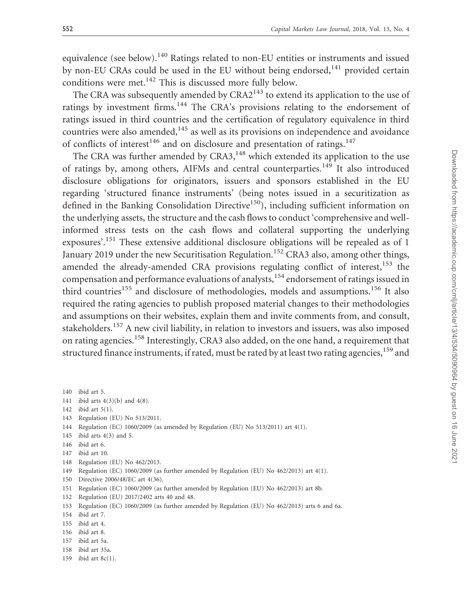equivalence (see below).<sup>140</sup> Ratings related to non-EU entities or instruments and issued by non-EU CRAs could be used in the EU without being endorsed, $141$  provided certain conditions were met.<sup>142</sup> This is discussed more fully below.

The CRA was subsequently amended by  $CRA2^{143}$  to extend its application to the use of ratings by investment firms.<sup>144</sup> The CRA's provisions relating to the endorsement of ratings issued in third countries and the certification of regulatory equivalence in third countries were also amended, $145$  as well as its provisions on independence and avoidance of conflicts of interest<sup>146</sup> and on disclosure and presentation of ratings.<sup>147</sup>

The CRA was further amended by CRA3,<sup>148</sup> which extended its application to the use of ratings by, among others, AIFMs and central counterparties.<sup>149</sup> It also introduced disclosure obligations for originators, issuers and sponsors established in the EU regarding 'structured finance instruments' (being notes issued in a securitization as defined in the Banking Consolidation Directive<sup>150</sup>), including sufficient information on the underlying assets, the structure and the cash flows to conduct 'comprehensive and wellinformed stress tests on the cash flows and collateral supporting the underlying exposures'.<sup>151</sup> These extensive additional disclosure obligations will be repealed as of 1 January 2019 under the new Securitisation Regulation.<sup>152</sup> CRA3 also, among other things, amended the already-amended CRA provisions regulating conflict of interest,<sup>153</sup> the compensation and performance evaluations of analysts,<sup>154</sup> endorsement of ratings issued in third countries<sup>155</sup> and disclosure of methodologies, models and assumptions.<sup>156</sup> It also required the rating agencies to publish proposed material changes to their methodologies and assumptions on their websites, explain them and invite comments from, and consult, stakeholders.<sup>157</sup> A new civil liability, in relation to investors and issuers, was also imposed on rating agencies.<sup>158</sup> Interestingly, CRA3 also added, on the one hand, a requirement that structured finance instruments, if rated, must be rated by at least two rating agencies,<sup>159</sup> and

- 143 Regulation (EU) No 513/2011.
- 144 Regulation (EC) 1060/2009 (as amended by Regulation (EU) No 513/2011) art 4(1).
- 145 ibid arts 4(3) and 5.
- 146 ibid art 6.
- 147 ibid art 10.
- 148 Regulation (EU) No 462/2013.
- 149 Regulation (EC) 1060/2009 (as further amended by Regulation (EU) No 462/2013) art 4(1).
- 150 Directive 2006/48/EC art 4(36).
- 151 Regulation (EC) 1060/2009 (as further amended by Regulation (EU) No 462/2013) art 8b.
- 152 Regulation (EU) 2017/2402 arts 40 and 48.
- 153 Regulation (EC) 1060/2009 (as further amended by Regulation (EU) No 462/2013) arts 6 and 6a.
- 154 ibid art 7.
- 155 ibid art 4.
- 156 ibid art 8.
- 157 ibid art 5a.
- 158 ibid art 35a.
- 159 ibid art 8c(1).

<sup>140</sup> ibid art 5.

<sup>141</sup> ibid arts 4(3)(b) and 4(8).

<sup>142</sup> ibid art 5(1).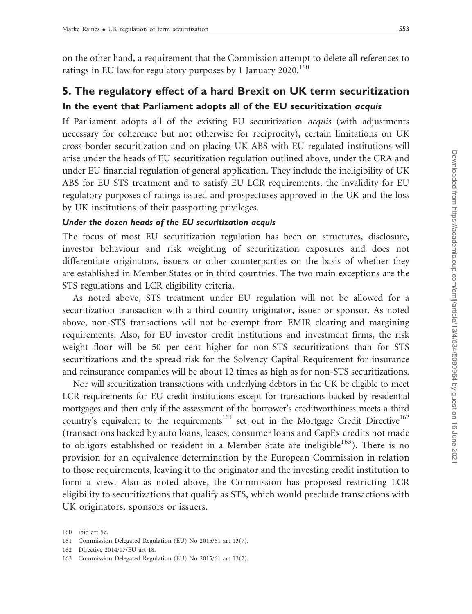on the other hand, a requirement that the Commission attempt to delete all references to ratings in EU law for regulatory purposes by 1 January 2020.<sup>160</sup>

## 5. The regulatory effect of a hard Brexit on UK term securitization In the event that Parliament adopts all of the EU securitization acquis

If Parliament adopts all of the existing EU securitization acquis (with adjustments necessary for coherence but not otherwise for reciprocity), certain limitations on UK cross-border securitization and on placing UK ABS with EU-regulated institutions will arise under the heads of EU securitization regulation outlined above, under the CRA and under EU financial regulation of general application. They include the ineligibility of UK ABS for EU STS treatment and to satisfy EU LCR requirements, the invalidity for EU regulatory purposes of ratings issued and prospectuses approved in the UK and the loss by UK institutions of their passporting privileges.

#### Under the dozen heads of the EU securitization acquis

The focus of most EU securitization regulation has been on structures, disclosure, investor behaviour and risk weighting of securitization exposures and does not differentiate originators, issuers or other counterparties on the basis of whether they are established in Member States or in third countries. The two main exceptions are the STS regulations and LCR eligibility criteria.

As noted above, STS treatment under EU regulation will not be allowed for a securitization transaction with a third country originator, issuer or sponsor. As noted above, non-STS transactions will not be exempt from EMIR clearing and margining requirements. Also, for EU investor credit institutions and investment firms, the risk weight floor will be 50 per cent higher for non-STS securitizations than for STS securitizations and the spread risk for the Solvency Capital Requirement for insurance and reinsurance companies will be about 12 times as high as for non-STS securitizations.

Nor will securitization transactions with underlying debtors in the UK be eligible to meet LCR requirements for EU credit institutions except for transactions backed by residential mortgages and then only if the assessment of the borrower's creditworthiness meets a third country's equivalent to the requirements<sup>161</sup> set out in the Mortgage Credit Directive<sup>162</sup> (transactions backed by auto loans, leases, consumer loans and CapEx credits not made to obligors established or resident in a Member State are ineligible<sup>163</sup>). There is no provision for an equivalence determination by the European Commission in relation to those requirements, leaving it to the originator and the investing credit institution to form a view. Also as noted above, the Commission has proposed restricting LCR eligibility to securitizations that qualify as STS, which would preclude transactions with UK originators, sponsors or issuers.

<sup>160</sup> ibid art 5c.

<sup>161</sup> Commission Delegated Regulation (EU) No 2015/61 art 13(7).

<sup>162</sup> Directive 2014/17/EU art 18.

<sup>163</sup> Commission Delegated Regulation (EU) No 2015/61 art 13(2).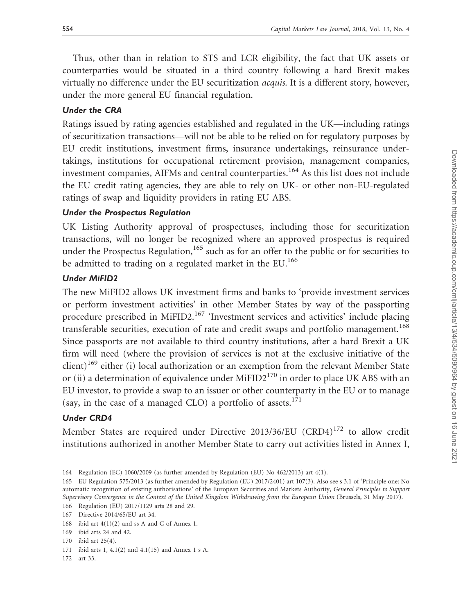Thus, other than in relation to STS and LCR eligibility, the fact that UK assets or counterparties would be situated in a third country following a hard Brexit makes virtually no difference under the EU securitization acquis. It is a different story, however, under the more general EU financial regulation.

#### Under the CRA

Ratings issued by rating agencies established and regulated in the UK—including ratings of securitization transactions—will not be able to be relied on for regulatory purposes by EU credit institutions, investment firms, insurance undertakings, reinsurance undertakings, institutions for occupational retirement provision, management companies, investment companies, AIFMs and central counterparties.<sup>164</sup> As this list does not include the EU credit rating agencies, they are able to rely on UK- or other non-EU-regulated ratings of swap and liquidity providers in rating EU ABS.

#### Under the Prospectus Regulation

UK Listing Authority approval of prospectuses, including those for securitization transactions, will no longer be recognized where an approved prospectus is required under the Prospectus Regulation,<sup>165</sup> such as for an offer to the public or for securities to be admitted to trading on a regulated market in the EU.<sup>166</sup>

#### Under MiFID2

The new MiFID2 allows UK investment firms and banks to 'provide investment services or perform investment activities' in other Member States by way of the passporting procedure prescribed in MiFID2.<sup>167</sup> 'Investment services and activities' include placing transferable securities, execution of rate and credit swaps and portfolio management.<sup>168</sup> Since passports are not available to third country institutions, after a hard Brexit a UK firm will need (where the provision of services is not at the exclusive initiative of the  $\text{client})^{169}$  either (i) local authorization or an exemption from the relevant Member State or (ii) a determination of equivalence under  $MIFID2<sup>170</sup>$  in order to place UK ABS with an EU investor, to provide a swap to an issuer or other counterparty in the EU or to manage (say, in the case of a managed CLO) a portfolio of assets.<sup>171</sup>

#### Under CRD4

Member States are required under Directive 2013/36/EU (CRD4)<sup>172</sup> to allow credit institutions authorized in another Member State to carry out activities listed in Annex I,

170 ibid art 25(4).

172 art 33.

<sup>164</sup> Regulation (EC) 1060/2009 (as further amended by Regulation (EU) No 462/2013) art 4(1).

<sup>165</sup> EU Regulation 575/2013 (as further amended by Regulation (EU) 2017/2401) art 107(3). Also see s 3.1 of 'Principle one: No automatic recognition of existing authorisations' of the European Securities and Markets Authority, General Principles to Support Supervisory Convergence in the Context of the United Kingdom Withdrawing from the European Union (Brussels, 31 May 2017).

<sup>166</sup> Regulation (EU) 2017/1129 arts 28 and 29.

<sup>167</sup> Directive 2014/65/EU art 34.

<sup>168</sup> ibid art 4(1)(2) and ss A and C of Annex 1.

<sup>169</sup> ibid arts 24 and 42.

<sup>171</sup> ibid arts 1, 4.1(2) and 4.1(15) and Annex 1 s A.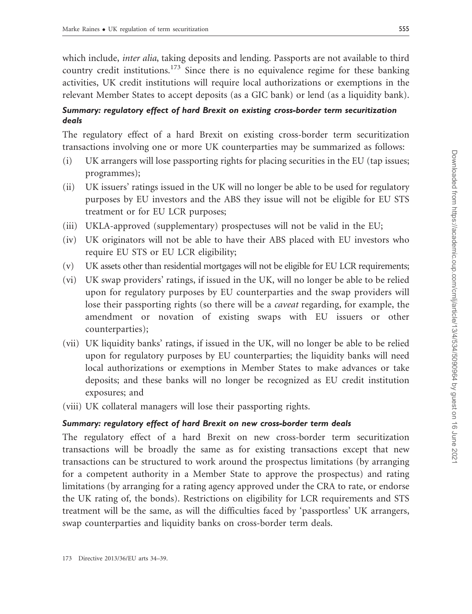which include, *inter alia*, taking deposits and lending. Passports are not available to third country credit institutions.<sup>173</sup> Since there is no equivalence regime for these banking activities, UK credit institutions will require local authorizations or exemptions in the relevant Member States to accept deposits (as a GIC bank) or lend (as a liquidity bank).

## Summary: regulatory effect of hard Brexit on existing cross-border term securitization deals

The regulatory effect of a hard Brexit on existing cross-border term securitization transactions involving one or more UK counterparties may be summarized as follows:

- (i) UK arrangers will lose passporting rights for placing securities in the EU (tap issues; programmes);
- (ii) UK issuers' ratings issued in the UK will no longer be able to be used for regulatory purposes by EU investors and the ABS they issue will not be eligible for EU STS treatment or for EU LCR purposes;
- (iii) UKLA-approved (supplementary) prospectuses will not be valid in the EU;
- (iv) UK originators will not be able to have their ABS placed with EU investors who require EU STS or EU LCR eligibility;
- (v) UK assets other than residential mortgages will not be eligible for EU LCR requirements;
- (vi) UK swap providers' ratings, if issued in the UK, will no longer be able to be relied upon for regulatory purposes by EU counterparties and the swap providers will lose their passporting rights (so there will be a *caveat* regarding, for example, the amendment or novation of existing swaps with EU issuers or other counterparties);
- (vii) UK liquidity banks' ratings, if issued in the UK, will no longer be able to be relied upon for regulatory purposes by EU counterparties; the liquidity banks will need local authorizations or exemptions in Member States to make advances or take deposits; and these banks will no longer be recognized as EU credit institution exposures; and
- (viii) UK collateral managers will lose their passporting rights.

## Summary: regulatory effect of hard Brexit on new cross-border term deals

The regulatory effect of a hard Brexit on new cross-border term securitization transactions will be broadly the same as for existing transactions except that new transactions can be structured to work around the prospectus limitations (by arranging for a competent authority in a Member State to approve the prospectus) and rating limitations (by arranging for a rating agency approved under the CRA to rate, or endorse the UK rating of, the bonds). Restrictions on eligibility for LCR requirements and STS treatment will be the same, as will the difficulties faced by 'passportless' UK arrangers, swap counterparties and liquidity banks on cross-border term deals.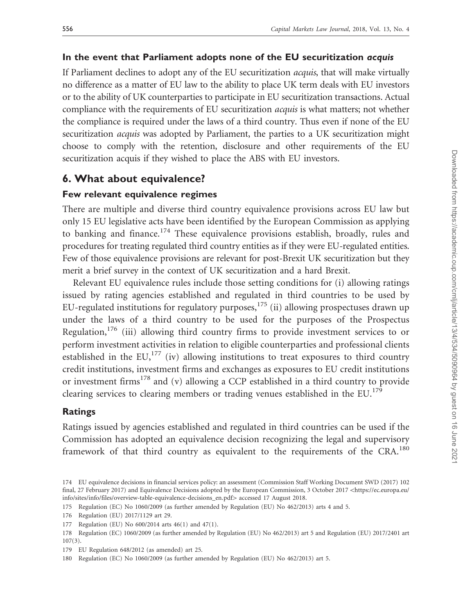#### In the event that Parliament adopts none of the EU securitization acquis

If Parliament declines to adopt any of the EU securitization acquis, that will make virtually no difference as a matter of EU law to the ability to place UK term deals with EU investors or to the ability of UK counterparties to participate in EU securitization transactions. Actual compliance with the requirements of EU securitization *acquis* is what matters; not whether the compliance is required under the laws of a third country. Thus even if none of the EU securitization *acquis* was adopted by Parliament, the parties to a UK securitization might choose to comply with the retention, disclosure and other requirements of the EU securitization acquis if they wished to place the ABS with EU investors.

## 6. What about equivalence?

#### Few relevant equivalence regimes

There are multiple and diverse third country equivalence provisions across EU law but only 15 EU legislative acts have been identified by the European Commission as applying to banking and finance.<sup>174</sup> These equivalence provisions establish, broadly, rules and procedures for treating regulated third country entities as if they were EU-regulated entities. Few of those equivalence provisions are relevant for post-Brexit UK securitization but they merit a brief survey in the context of UK securitization and a hard Brexit.

Relevant EU equivalence rules include those setting conditions for (i) allowing ratings issued by rating agencies established and regulated in third countries to be used by EU-regulated institutions for regulatory purposes, $175$  (ii) allowing prospectuses drawn up under the laws of a third country to be used for the purposes of the Prospectus Regulation,<sup>176</sup> (iii) allowing third country firms to provide investment services to or perform investment activities in relation to eligible counterparties and professional clients established in the EU, $^{177}$  (iv) allowing institutions to treat exposures to third country credit institutions, investment firms and exchanges as exposures to EU credit institutions or investment firms<sup>178</sup> and (v) allowing a CCP established in a third country to provide clearing services to clearing members or trading venues established in the EU.<sup>179</sup>

#### Ratings

Ratings issued by agencies established and regulated in third countries can be used if the Commission has adopted an equivalence decision recognizing the legal and supervisory framework of that third country as equivalent to the requirements of the CRA.<sup>180</sup>

<sup>174</sup> EU equivalence decisions in financial services policy: an assessment (Commission Staff Working Document SWD (2017) 102 final, 27 February 2017) and Equivalence Decisions adopted by the European Commission, 3 October 2017 <[https://ec.europa.eu/](https://ec.europa.eu/info/sites/info/files/overview-table-equivalence-decisions_en.pdf) [info/sites/info/files/overview-table-equivalence-decisions\\_en.pdf](https://ec.europa.eu/info/sites/info/files/overview-table-equivalence-decisions_en.pdf)> accessed 17 August 2018.

<sup>175</sup> Regulation (EC) No 1060/2009 (as further amended by Regulation (EU) No 462/2013) arts 4 and 5.

<sup>176</sup> Regulation (EU) 2017/1129 art 29.

<sup>177</sup> Regulation (EU) No 600/2014 arts 46(1) and 47(1).

<sup>178</sup> Regulation (EC) 1060/2009 (as further amended by Regulation (EU) No 462/2013) art 5 and Regulation (EU) 2017/2401 art  $107(3)$ .

<sup>179</sup> EU Regulation 648/2012 (as amended) art 25.

<sup>180</sup> Regulation (EC) No 1060/2009 (as further amended by Regulation (EU) No 462/2013) art 5.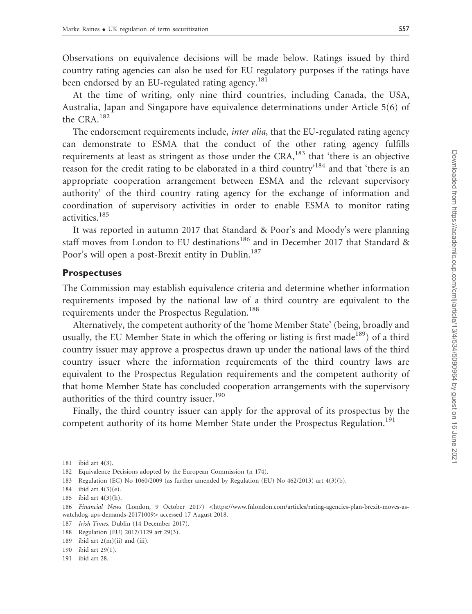Observations on equivalence decisions will be made below. Ratings issued by third country rating agencies can also be used for EU regulatory purposes if the ratings have been endorsed by an EU-regulated rating agency.<sup>181</sup>

At the time of writing, only nine third countries, including Canada, the USA, Australia, Japan and Singapore have equivalence determinations under Article 5(6) of the CRA.<sup>182</sup>

The endorsement requirements include, *inter alia*, that the EU-regulated rating agency can demonstrate to ESMA that the conduct of the other rating agency fulfills requirements at least as stringent as those under the CRA,<sup>183</sup> that 'there is an objective reason for the credit rating to be elaborated in a third country'<sup>184</sup> and that 'there is an appropriate cooperation arrangement between ESMA and the relevant supervisory authority' of the third country rating agency for the exchange of information and coordination of supervisory activities in order to enable ESMA to monitor rating activities.<sup>185</sup>

It was reported in autumn 2017 that Standard & Poor's and Moody's were planning staff moves from London to EU destinations<sup>186</sup> and in December 2017 that Standard & Poor's will open a post-Brexit entity in Dublin.<sup>187</sup>

#### Prospectuses

The Commission may establish equivalence criteria and determine whether information requirements imposed by the national law of a third country are equivalent to the requirements under the Prospectus Regulation.<sup>188</sup>

Alternatively, the competent authority of the 'home Member State' (being, broadly and usually, the EU Member State in which the offering or listing is first made<sup>189</sup>) of a third country issuer may approve a prospectus drawn up under the national laws of the third country issuer where the information requirements of the third country laws are equivalent to the Prospectus Regulation requirements and the competent authority of that home Member State has concluded cooperation arrangements with the supervisory authorities of the third country issuer.<sup>190</sup>

Finally, the third country issuer can apply for the approval of its prospectus by the competent authority of its home Member State under the Prospectus Regulation.<sup>191</sup>

- 182 Equivalence Decisions adopted by the European Commission (n 174).
- 183 Regulation (EC) No 1060/2009 (as further amended by Regulation (EU) No 462/2013) art 4(3)(b).
- 184 ibid art 4(3)(e).
- 185 ibid art 4(3)(h).

- 187 Irish Times, Dublin (14 December 2017).
- 188 Regulation (EU) 2017/1129 art 29(3).

- 190 ibid art 29(1).
- 191 ibid art 28.

<sup>181</sup> ibid art 4(3).

<sup>186</sup> Financial News (London, 9 October 2017) <[https://www.fnlondon.com/articles/rating-agencies-plan-brexit-moves-as](https://www.fnlondon.com/articles/rating-agencies-plan-brexit-moves-as-watchdog-ups-demands-20171009)[watchdog-ups-demands-20171009](https://www.fnlondon.com/articles/rating-agencies-plan-brexit-moves-as-watchdog-ups-demands-20171009)> accessed 17 August 2018.

<sup>189</sup> ibid art  $2(m)(ii)$  and (iii).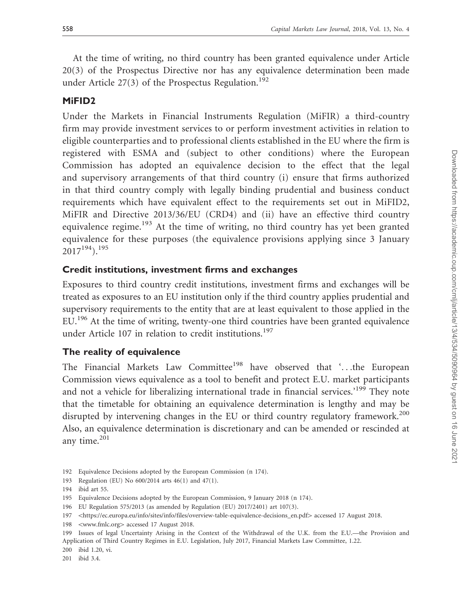At the time of writing, no third country has been granted equivalence under Article 20(3) of the Prospectus Directive nor has any equivalence determination been made under Article 27(3) of the Prospectus Regulation.<sup>192</sup>

#### MiFID2

Under the Markets in Financial Instruments Regulation (MiFIR) a third-country firm may provide investment services to or perform investment activities in relation to eligible counterparties and to professional clients established in the EU where the firm is registered with ESMA and (subject to other conditions) where the European Commission has adopted an equivalence decision to the effect that the legal and supervisory arrangements of that third country (i) ensure that firms authorized in that third country comply with legally binding prudential and business conduct requirements which have equivalent effect to the requirements set out in MiFID2, MiFIR and Directive 2013/36/EU (CRD4) and (ii) have an effective third country equivalence regime.<sup>193</sup> At the time of writing, no third country has yet been granted equivalence for these purposes (the equivalence provisions applying since 3 January  $2017^{194}$ ).<sup>195</sup>

#### Credit institutions, investment firms and exchanges

Exposures to third country credit institutions, investment firms and exchanges will be treated as exposures to an EU institution only if the third country applies prudential and supervisory requirements to the entity that are at least equivalent to those applied in the EU.<sup>196</sup> At the time of writing, twenty-one third countries have been granted equivalence under Article 107 in relation to credit institutions.<sup>197</sup>

#### The reality of equivalence

The Financial Markets Law Committee<sup>198</sup> have observed that '...the European Commission views equivalence as a tool to benefit and protect E.U. market participants and not a vehicle for liberalizing international trade in financial services.'<sup>199</sup> They note that the timetable for obtaining an equivalence determination is lengthy and may be disrupted by intervening changes in the EU or third country regulatory framework.<sup>200</sup> Also, an equivalence determination is discretionary and can be amended or rescinded at any time. $201$ 

193 Regulation (EU) No 600/2014 arts 46(1) and 47(1).

201 ibid 3.4.

<sup>192</sup> Equivalence Decisions adopted by the European Commission (n 174).

<sup>194</sup> ibid art 55.

<sup>195</sup> Equivalence Decisions adopted by the European Commission, 9 January 2018 (n 174).

<sup>196</sup> EU Regulation 575/2013 (as amended by Regulation (EU) 2017/2401) art 107(3).

<sup>197 &</sup>lt;[https://ec.europa.eu/info/sites/info/files/overview-table-equivalence-decisions\\_en.pdf](https://ec.europa.eu/info/sites/info/files/overview-table-equivalence-decisions_en.pdf)> accessed 17 August 2018.

<sup>198 &</sup>lt;[www.fmlc.org](http://www.fmlc.org)> accessed 17 August 2018.

<sup>199</sup> Issues of legal Uncertainty Arising in the Context of the Withdrawal of the U.K. from the E.U.—the Provision and Application of Third Country Regimes in E.U. Legislation, July 2017, Financial Markets Law Committee, 1.22.

<sup>200</sup> ibid 1.20, vi.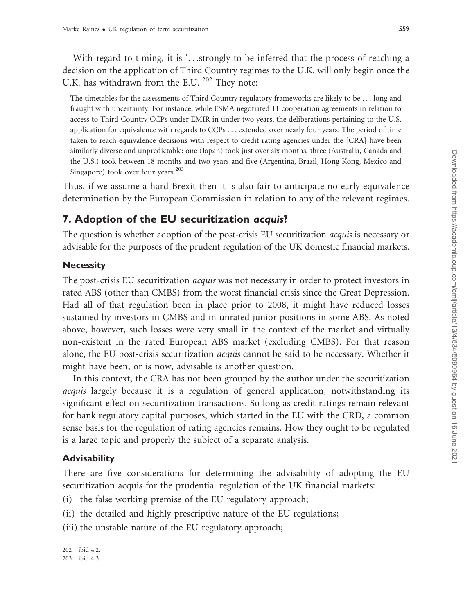With regard to timing, it is '...strongly to be inferred that the process of reaching a decision on the application of Third Country regimes to the U.K. will only begin once the U.K. has withdrawn from the E.U.<sup>202</sup> They note:

The timetables for the assessments of Third Country regulatory frameworks are likely to be ... long and fraught with uncertainty. For instance, while ESMA negotiated 11 cooperation agreements in relation to access to Third Country CCPs under EMIR in under two years, the deliberations pertaining to the U.S. application for equivalence with regards to CCPs ... extended over nearly four years. The period of time taken to reach equivalence decisions with respect to credit rating agencies under the [CRA] have been similarly diverse and unpredictable: one (Japan) took just over six months, three (Australia, Canada and the U.S.) took between 18 months and two years and five (Argentina, Brazil, Hong Kong, Mexico and Singapore) took over four years.<sup>203</sup>

Thus, if we assume a hard Brexit then it is also fair to anticipate no early equivalence determination by the European Commission in relation to any of the relevant regimes.

## 7. Adoption of the EU securitization acquis?

The question is whether adoption of the post-crisis EU securitization acquis is necessary or advisable for the purposes of the prudent regulation of the UK domestic financial markets.

#### **Necessity**

The post-crisis EU securitization acquis was not necessary in order to protect investors in rated ABS (other than CMBS) from the worst financial crisis since the Great Depression. Had all of that regulation been in place prior to 2008, it might have reduced losses sustained by investors in CMBS and in unrated junior positions in some ABS. As noted above, however, such losses were very small in the context of the market and virtually non-existent in the rated European ABS market (excluding CMBS). For that reason alone, the EU post-crisis securitization acquis cannot be said to be necessary. Whether it might have been, or is now, advisable is another question.

In this context, the CRA has not been grouped by the author under the securitization acquis largely because it is a regulation of general application, notwithstanding its significant effect on securitization transactions. So long as credit ratings remain relevant for bank regulatory capital purposes, which started in the EU with the CRD, a common sense basis for the regulation of rating agencies remains. How they ought to be regulated is a large topic and properly the subject of a separate analysis.

#### **Advisability**

There are five considerations for determining the advisability of adopting the EU securitization acquis for the prudential regulation of the UK financial markets:

- (i) the false working premise of the EU regulatory approach;
- (ii) the detailed and highly prescriptive nature of the EU regulations;

(iii) the unstable nature of the EU regulatory approach;

202 ibid 4.2. 203 ibid 4.3.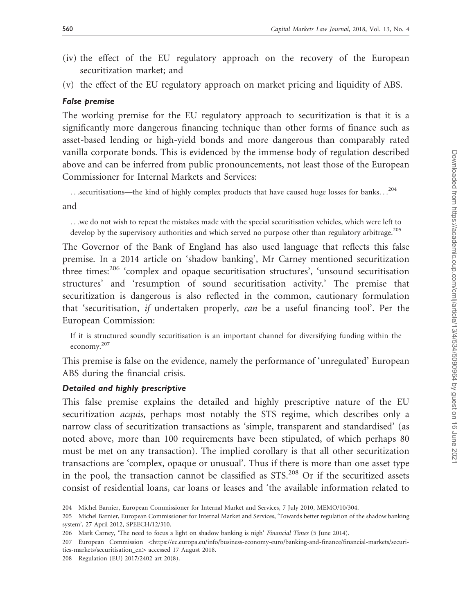- (iv) the effect of the EU regulatory approach on the recovery of the European securitization market; and
- (v) the effect of the EU regulatory approach on market pricing and liquidity of ABS.

#### False premise

The working premise for the EU regulatory approach to securitization is that it is a significantly more dangerous financing technique than other forms of finance such as asset-based lending or high-yield bonds and more dangerous than comparably rated vanilla corporate bonds. This is evidenced by the immense body of regulation described above and can be inferred from public pronouncements, not least those of the European Commissioner for Internal Markets and Services:

...securitisations—the kind of highly complex products that have caused huge losses for banks...<sup>204</sup>

and

...we do not wish to repeat the mistakes made with the special securitisation vehicles, which were left to develop by the supervisory authorities and which served no purpose other than regulatory arbitrage.<sup>205</sup>

The Governor of the Bank of England has also used language that reflects this false premise. In a 2014 article on 'shadow banking', Mr Carney mentioned securitization three times:<sup>206</sup> 'complex and opaque securitisation structures', 'unsound securitisation structures' and 'resumption of sound securitisation activity.' The premise that securitization is dangerous is also reflected in the common, cautionary formulation that 'securitisation, if undertaken properly, can be a useful financing tool'. Per the European Commission:

If it is structured soundly securitisation is an important channel for diversifying funding within the economy.<sup>207</sup>

This premise is false on the evidence, namely the performance of 'unregulated' European ABS during the financial crisis.

#### Detailed and highly prescriptive

This false premise explains the detailed and highly prescriptive nature of the EU securitization *acquis*, perhaps most notably the STS regime, which describes only a narrow class of securitization transactions as 'simple, transparent and standardised' (as noted above, more than 100 requirements have been stipulated, of which perhaps 80 must be met on any transaction). The implied corollary is that all other securitization transactions are 'complex, opaque or unusual'. Thus if there is more than one asset type in the pool, the transaction cannot be classified as STS.<sup>208</sup> Or if the securitized assets consist of residential loans, car loans or leases and 'the available information related to

208 Regulation (EU) 2017/2402 art 20(8).

<sup>204</sup> Michel Barnier, European Commissioner for Internal Market and Services, 7 July 2010, MEMO/10/304.

<sup>205</sup> Michel Barnier, European Commissioner for Internal Market and Services, 'Towards better regulation of the shadow banking system', 27 April 2012, SPEECH/12/310.

<sup>206</sup> Mark Carney, 'The need to focus a light on shadow banking is nigh' Financial Times (5 June 2014).

<sup>207</sup> European Commission <[https://ec.europa.eu/info/business-economy-euro/banking-and-finance/financial-markets/securi](https://ec.europa.eu/info/business-economy-euro/banking-and-finance/financial-markets/securities-markets/securitisation_en)[ties-markets/securitisation\\_en](https://ec.europa.eu/info/business-economy-euro/banking-and-finance/financial-markets/securities-markets/securitisation_en)> accessed 17 August 2018.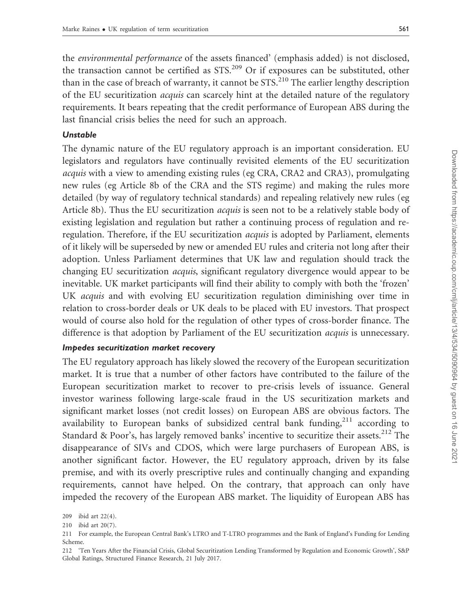the environmental performance of the assets financed' (emphasis added) is not disclosed, the transaction cannot be certified as STS.209 Or if exposures can be substituted, other than in the case of breach of warranty, it cannot be  $STS^{210}$ . The earlier lengthy description of the EU securitization acquis can scarcely hint at the detailed nature of the regulatory requirements. It bears repeating that the credit performance of European ABS during the last financial crisis belies the need for such an approach.

#### Unstable

The dynamic nature of the EU regulatory approach is an important consideration. EU legislators and regulators have continually revisited elements of the EU securitization acquis with a view to amending existing rules (eg CRA, CRA2 and CRA3), promulgating new rules (eg Article 8b of the CRA and the STS regime) and making the rules more detailed (by way of regulatory technical standards) and repealing relatively new rules (eg Article 8b). Thus the EU securitization acquis is seen not to be a relatively stable body of existing legislation and regulation but rather a continuing process of regulation and reregulation. Therefore, if the EU securitization *acquis* is adopted by Parliament, elements of it likely will be superseded by new or amended EU rules and criteria not long after their adoption. Unless Parliament determines that UK law and regulation should track the changing EU securitization acquis, significant regulatory divergence would appear to be inevitable. UK market participants will find their ability to comply with both the 'frozen' UK acquis and with evolving EU securitization regulation diminishing over time in relation to cross-border deals or UK deals to be placed with EU investors. That prospect would of course also hold for the regulation of other types of cross-border finance. The difference is that adoption by Parliament of the EU securitization *acquis* is unnecessary.

#### Impedes securitization market recovery

The EU regulatory approach has likely slowed the recovery of the European securitization market. It is true that a number of other factors have contributed to the failure of the European securitization market to recover to pre-crisis levels of issuance. General investor wariness following large-scale fraud in the US securitization markets and significant market losses (not credit losses) on European ABS are obvious factors. The availability to European banks of subsidized central bank funding,<sup>211</sup> according to Standard & Poor's, has largely removed banks' incentive to securitize their assets.<sup>212</sup> The disappearance of SIVs and CDOS, which were large purchasers of European ABS, is another significant factor. However, the EU regulatory approach, driven by its false premise, and with its overly prescriptive rules and continually changing and expanding requirements, cannot have helped. On the contrary, that approach can only have impeded the recovery of the European ABS market. The liquidity of European ABS has

<sup>209</sup> ibid art 22(4).

<sup>210</sup> ibid art 20(7).

<sup>211</sup> For example, the European Central Bank's LTRO and T-LTRO programmes and the Bank of England's Funding for Lending Scheme.

<sup>212 &#</sup>x27;Ten Years After the Financial Crisis, Global Securitization Lending Transformed by Regulation and Economic Growth', S&P Global Ratings, Structured Finance Research, 21 July 2017.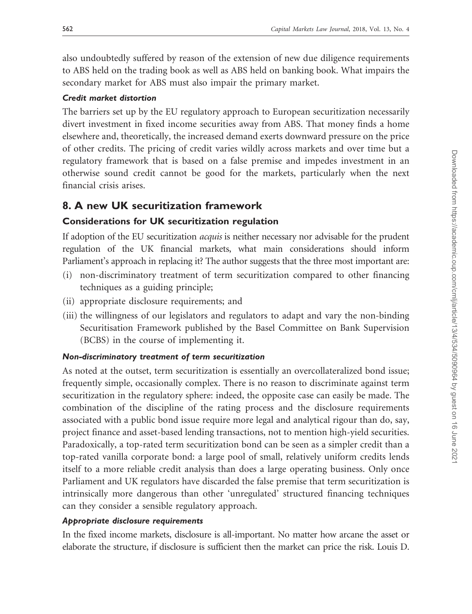also undoubtedly suffered by reason of the extension of new due diligence requirements to ABS held on the trading book as well as ABS held on banking book. What impairs the secondary market for ABS must also impair the primary market.

## Credit market distortion

The barriers set up by the EU regulatory approach to European securitization necessarily divert investment in fixed income securities away from ABS. That money finds a home elsewhere and, theoretically, the increased demand exerts downward pressure on the price of other credits. The pricing of credit varies wildly across markets and over time but a regulatory framework that is based on a false premise and impedes investment in an otherwise sound credit cannot be good for the markets, particularly when the next financial crisis arises.

## 8. A new UK securitization framework

## Considerations for UK securitization regulation

If adoption of the EU securitization *acquis* is neither necessary nor advisable for the prudent regulation of the UK financial markets, what main considerations should inform Parliament's approach in replacing it? The author suggests that the three most important are:

- (i) non-discriminatory treatment of term securitization compared to other financing techniques as a guiding principle;
- (ii) appropriate disclosure requirements; and
- (iii) the willingness of our legislators and regulators to adapt and vary the non-binding Securitisation Framework published by the Basel Committee on Bank Supervision (BCBS) in the course of implementing it.

## Non-discriminatory treatment of term securitization

As noted at the outset, term securitization is essentially an overcollateralized bond issue; frequently simple, occasionally complex. There is no reason to discriminate against term securitization in the regulatory sphere: indeed, the opposite case can easily be made. The combination of the discipline of the rating process and the disclosure requirements associated with a public bond issue require more legal and analytical rigour than do, say, project finance and asset-based lending transactions, not to mention high-yield securities. Paradoxically, a top-rated term securitization bond can be seen as a simpler credit than a top-rated vanilla corporate bond: a large pool of small, relatively uniform credits lends itself to a more reliable credit analysis than does a large operating business. Only once Parliament and UK regulators have discarded the false premise that term securitization is intrinsically more dangerous than other 'unregulated' structured financing techniques can they consider a sensible regulatory approach.

## Appropriate disclosure requirements

In the fixed income markets, disclosure is all-important. No matter how arcane the asset or elaborate the structure, if disclosure is sufficient then the market can price the risk. Louis D.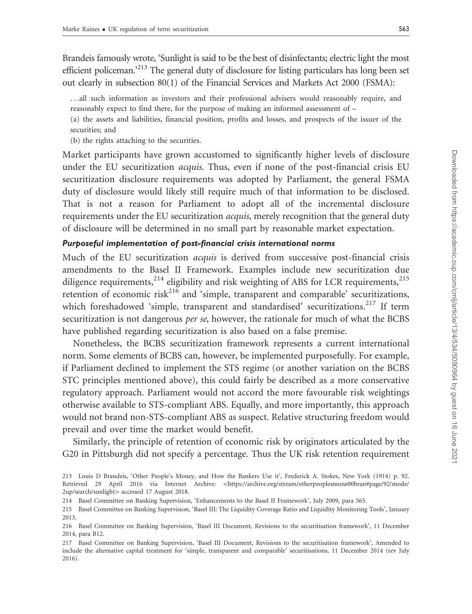Brandeis famously wrote, 'Sunlight is said to be the best of disinfectants; electric light the most efficient policeman.'213 The general duty of disclosure for listing particulars has long been set out clearly in subsection 80(1) of the Financial Services and Markets Act 2000 (FSMA):

...all such information as investors and their professional advisers would reasonably require, and reasonably expect to find there, for the purpose of making an informed assessment of –

(a) the assets and liabilities, financial position, profits and losses, and prospects of the issuer of the securities; and

(b) the rights attaching to the securities.

Market participants have grown accustomed to significantly higher levels of disclosure under the EU securitization *acquis*. Thus, even if none of the post-financial crisis EU securitization disclosure requirements was adopted by Parliament, the general FSMA duty of disclosure would likely still require much of that information to be disclosed. That is not a reason for Parliament to adopt all of the incremental disclosure requirements under the EU securitization *acquis*, merely recognition that the general duty of disclosure will be determined in no small part by reasonable market expectation.

#### Purposeful implementation of post-financial crisis international norms

Much of the EU securitization *acquis* is derived from successive post-financial crisis amendments to the Basel II Framework. Examples include new securitization due diligence requirements,  $2^{14}$  eligibility and risk weighting of ABS for LCR requirements,  $2^{15}$ retention of economic risk $^{216}$  and 'simple, transparent and comparable' securitizations, which foreshadowed 'simple, transparent and standardised' securitizations.<sup>217</sup> If term securitization is not dangerous per se, however, the rationale for much of what the BCBS have published regarding securitization is also based on a false premise.

Nonetheless, the BCBS securitization framework represents a current international norm. Some elements of BCBS can, however, be implemented purposefully. For example, if Parliament declined to implement the STS regime (or another variation on the BCBS STC principles mentioned above), this could fairly be described as a more conservative regulatory approach. Parliament would not accord the more favourable risk weightings otherwise available to STS-compliant ABS. Equally, and more importantly, this approach would not brand non-STS-compliant ABS as suspect. Relative structuring freedom would prevail and over time the market would benefit.

Similarly, the principle of retention of economic risk by originators articulated by the G20 in Pittsburgh did not specify a percentage. Thus the UK risk retention requirement

<sup>213</sup> Louis D Brandeis, 'Other People's Money, and How the Bankers Use it', Frederick A. Stokes, New York (1914) p. 92. Retrieved 29 April 2016 via Internet Archive: < [https://archive.org/stream/otherpeoplesmone00bran#page/92/mode/](https://archive.org/stream/otherpeoplesmone00bran#page/92/mode/2up/search/sunlight) [2up/search/sunlight](https://archive.org/stream/otherpeoplesmone00bran#page/92/mode/2up/search/sunlight)> accessed 17 August 2018.

<sup>214</sup> Basel Committee on Banking Supervision, 'Enhancements to the Basel II Framework', July 2009, para 565.

<sup>215</sup> Basel Committee on Banking Supervision, 'Basel III: The Liquidity Coverage Ratio and Liquidity Monitoring Tools', January 2013.

<sup>216</sup> Basel Committee on Banking Supervision, 'Basel III Document, Revisions to the securitisation framework', 11 December 2014, para B12.

<sup>217</sup> Basel Committee on Banking Supervision, 'Basel III Document, Revisions to the securitisation framework', Amended to include the alternative capital treatment for 'simple, transparent and comparable' securitisations, 11 December 2014 (rev July 2016).